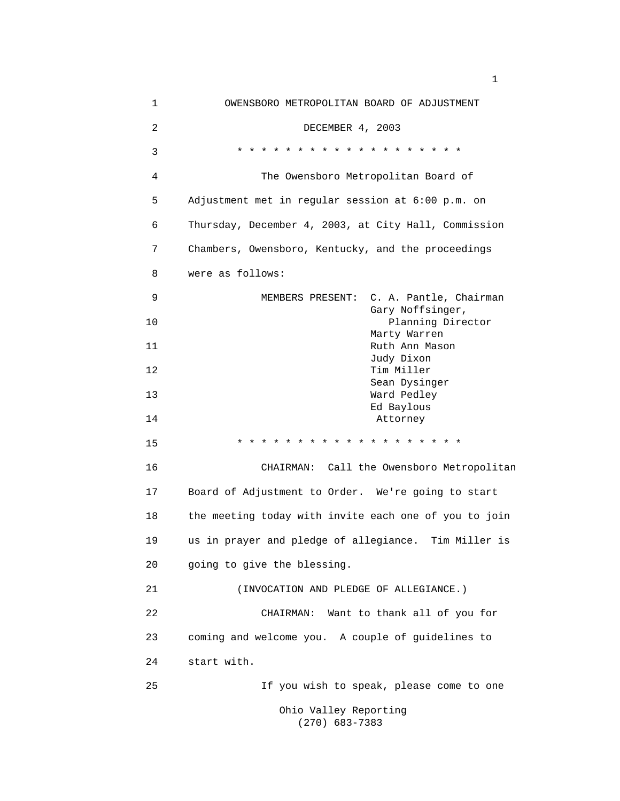| $\mathbf 1$ | OWENSBORO METROPOLITAN BOARD OF ADJUSTMENT                     |
|-------------|----------------------------------------------------------------|
| 2           | DECEMBER 4, 2003                                               |
| 3           | $\star$<br>$\star$<br>$\star$<br>$*$ $*$<br>* * * *<br>$\star$ |
| 4           | The Owensboro Metropolitan Board of                            |
| 5           | Adjustment met in regular session at 6:00 p.m. on              |
| 6           | Thursday, December 4, 2003, at City Hall, Commission           |
| 7           | Chambers, Owensboro, Kentucky, and the proceedings             |
| 8           | were as follows:                                               |
| 9           | C. A. Pantle, Chairman<br>MEMBERS PRESENT:                     |
| 10          | Gary Noffsinger,<br>Planning Director                          |
| 11          | Marty Warren<br>Ruth Ann Mason<br>Judy Dixon                   |
| 12          | Tim Miller<br>Sean Dysinger                                    |
| 13          | Ward Pedley                                                    |
| 14          | Ed Baylous<br>Attorney                                         |
| 15          | * * * * * * * * * * *                                          |
| 16          | CHAIRMAN: Call the Owensboro Metropolitan                      |
| 17          | Board of Adjustment to Order. We're going to start             |
| 18          | the meeting today with invite each one of you to join          |
| 19          | us in prayer and pledge of allegiance. Tim Miller is           |
| 20          | going to give the blessing.                                    |
| 21          | (INVOCATION AND PLEDGE OF ALLEGIANCE.)                         |
| 22          | Want to thank all of you for<br>CHAIRMAN:                      |
| 23          | coming and welcome you. A couple of guidelines to              |
| 24          | start with.                                                    |
| 25          | If you wish to speak, please come to one                       |
|             | Ohio Valley Reporting<br>$(270)$ 683-7383                      |

 $1<sub>1</sub>$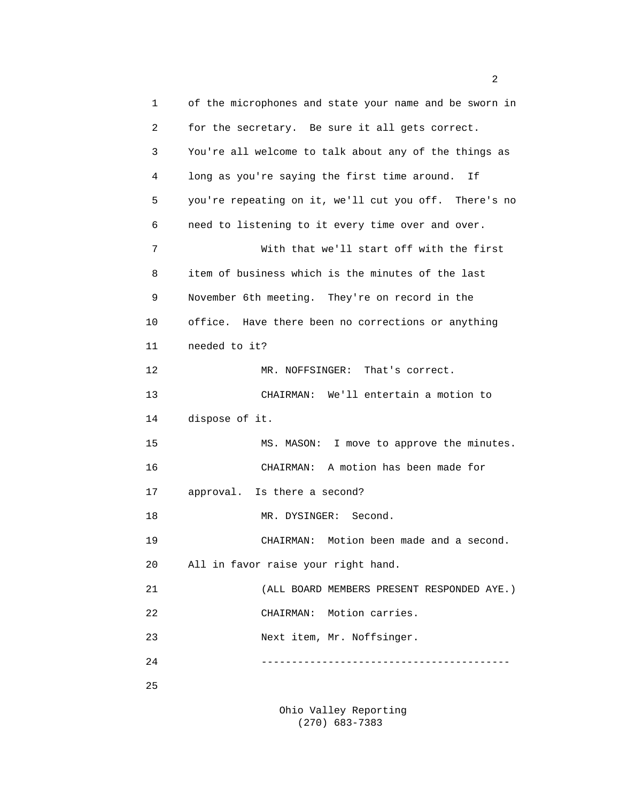1 of the microphones and state your name and be sworn in 2 for the secretary. Be sure it all gets correct. 3 You're all welcome to talk about any of the things as 4 long as you're saying the first time around. If 5 you're repeating on it, we'll cut you off. There's no 6 need to listening to it every time over and over. 7 With that we'll start off with the first 8 item of business which is the minutes of the last 9 November 6th meeting. They're on record in the 10 office. Have there been no corrections or anything 11 needed to it? 12 MR. NOFFSINGER: That's correct. 13 CHAIRMAN: We'll entertain a motion to 14 dispose of it. 15 MS. MASON: I move to approve the minutes. 16 CHAIRMAN: A motion has been made for 17 approval. Is there a second? 18 MR. DYSINGER: Second. 19 CHAIRMAN: Motion been made and a second. 20 All in favor raise your right hand. 21 (ALL BOARD MEMBERS PRESENT RESPONDED AYE.) 22 CHAIRMAN: Motion carries. 23 Next item, Mr. Noffsinger. 24 ----------------------------------------- 25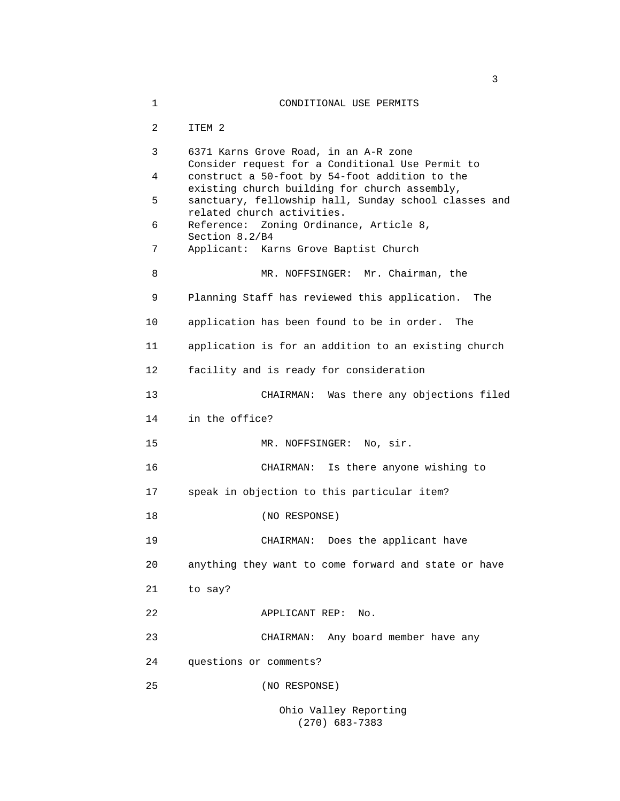1 CONDITIONAL USE PERMITS 2 ITEM 2 3 6371 Karns Grove Road, in an A-R zone Consider request for a Conditional Use Permit to 4 construct a 50-foot by 54-foot addition to the existing church building for church assembly, 5 sanctuary, fellowship hall, Sunday school classes and related church activities. 6 Reference: Zoning Ordinance, Article 8, Section 8.2/B4 7 Applicant: Karns Grove Baptist Church 8 MR. NOFFSINGER: Mr. Chairman, the 9 Planning Staff has reviewed this application. The 10 application has been found to be in order. The 11 application is for an addition to an existing church 12 facility and is ready for consideration 13 CHAIRMAN: Was there any objections filed 14 in the office? 15 MR. NOFFSINGER: No, sir. 16 CHAIRMAN: Is there anyone wishing to 17 speak in objection to this particular item? 18 (NO RESPONSE) 19 CHAIRMAN: Does the applicant have 20 anything they want to come forward and state or have 21 to say? 22 APPLICANT REP: No. 23 CHAIRMAN: Any board member have any 24 questions or comments? 25 (NO RESPONSE) Ohio Valley Reporting

(270) 683-7383

 $\sim$  3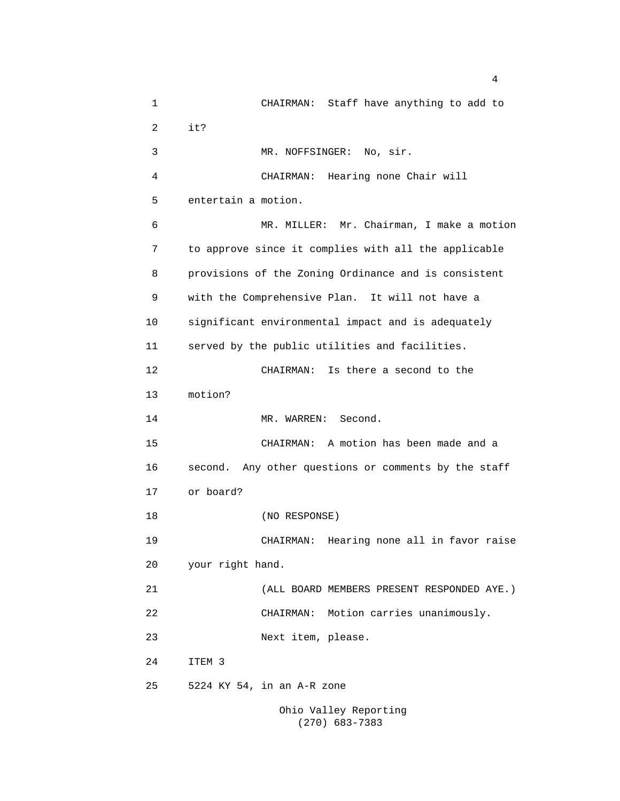1 CHAIRMAN: Staff have anything to add to 2 it? 3 MR. NOFFSINGER: No, sir. 4 CHAIRMAN: Hearing none Chair will 5 entertain a motion. 6 MR. MILLER: Mr. Chairman, I make a motion 7 to approve since it complies with all the applicable 8 provisions of the Zoning Ordinance and is consistent 9 with the Comprehensive Plan. It will not have a 10 significant environmental impact and is adequately 11 served by the public utilities and facilities. 12 CHAIRMAN: Is there a second to the 13 motion? 14 MR. WARREN: Second. 15 CHAIRMAN: A motion has been made and a 16 second. Any other questions or comments by the staff 17 or board? 18 (NO RESPONSE) 19 CHAIRMAN: Hearing none all in favor raise 20 your right hand. 21 (ALL BOARD MEMBERS PRESENT RESPONDED AYE.) 22 CHAIRMAN: Motion carries unanimously. 23 Next item, please. 24 ITEM 3 25 5224 KY 54, in an A-R zone Ohio Valley Reporting

(270) 683-7383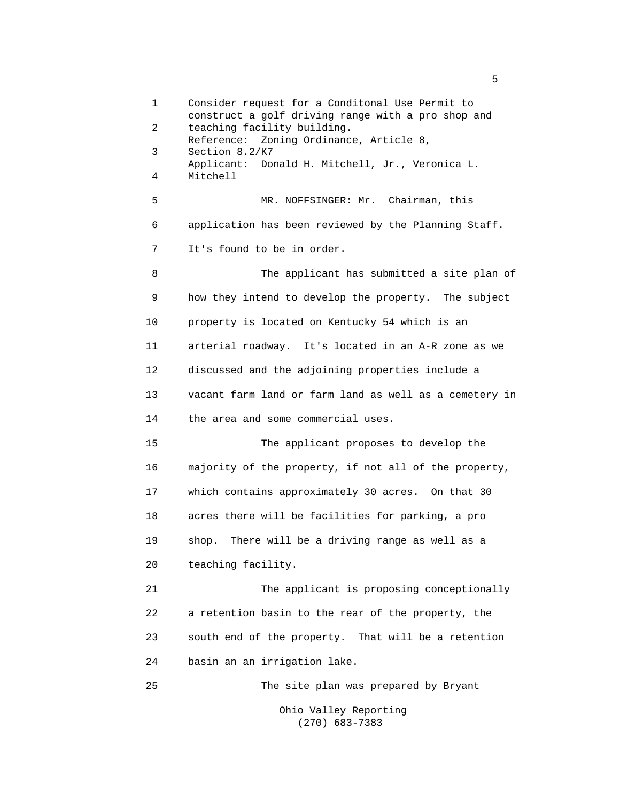1 Consider request for a Conditonal Use Permit to construct a golf driving range with a pro shop and 2 teaching facility building. Reference: Zoning Ordinance, Article 8, 3 Section 8.2/K7 Applicant: Donald H. Mitchell, Jr., Veronica L. 4 Mitchell 5 MR. NOFFSINGER: Mr. Chairman, this 6 application has been reviewed by the Planning Staff. 7 It's found to be in order. 8 The applicant has submitted a site plan of 9 how they intend to develop the property. The subject 10 property is located on Kentucky 54 which is an 11 arterial roadway. It's located in an A-R zone as we 12 discussed and the adjoining properties include a 13 vacant farm land or farm land as well as a cemetery in 14 the area and some commercial uses. 15 The applicant proposes to develop the 16 majority of the property, if not all of the property, 17 which contains approximately 30 acres. On that 30 18 acres there will be facilities for parking, a pro 19 shop. There will be a driving range as well as a 20 teaching facility. 21 The applicant is proposing conceptionally 22 a retention basin to the rear of the property, the 23 south end of the property. That will be a retention 24 basin an an irrigation lake. 25 The site plan was prepared by Bryant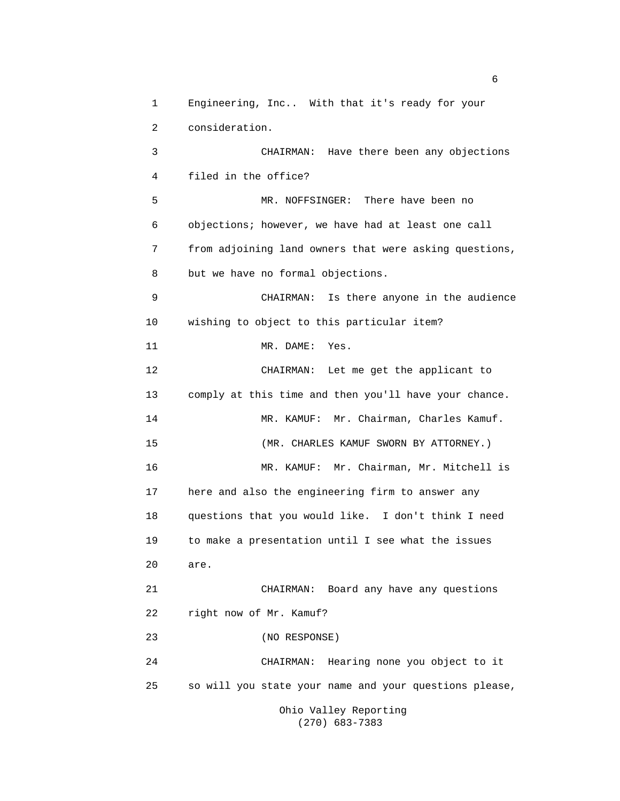1 Engineering, Inc.. With that it's ready for your 2 consideration. 3 CHAIRMAN: Have there been any objections 4 filed in the office? 5 MR. NOFFSINGER: There have been no 6 objections; however, we have had at least one call 7 from adjoining land owners that were asking questions, 8 but we have no formal objections. 9 CHAIRMAN: Is there anyone in the audience 10 wishing to object to this particular item? 11 MR. DAME: Yes. 12 CHAIRMAN: Let me get the applicant to 13 comply at this time and then you'll have your chance. 14 MR. KAMUF: Mr. Chairman, Charles Kamuf. 15 (MR. CHARLES KAMUF SWORN BY ATTORNEY.) 16 MR. KAMUF: Mr. Chairman, Mr. Mitchell is 17 here and also the engineering firm to answer any 18 questions that you would like. I don't think I need 19 to make a presentation until I see what the issues 20 are. 21 CHAIRMAN: Board any have any questions 22 right now of Mr. Kamuf? 23 (NO RESPONSE) 24 CHAIRMAN: Hearing none you object to it 25 so will you state your name and your questions please, Ohio Valley Reporting

 $\sim$  6

(270) 683-7383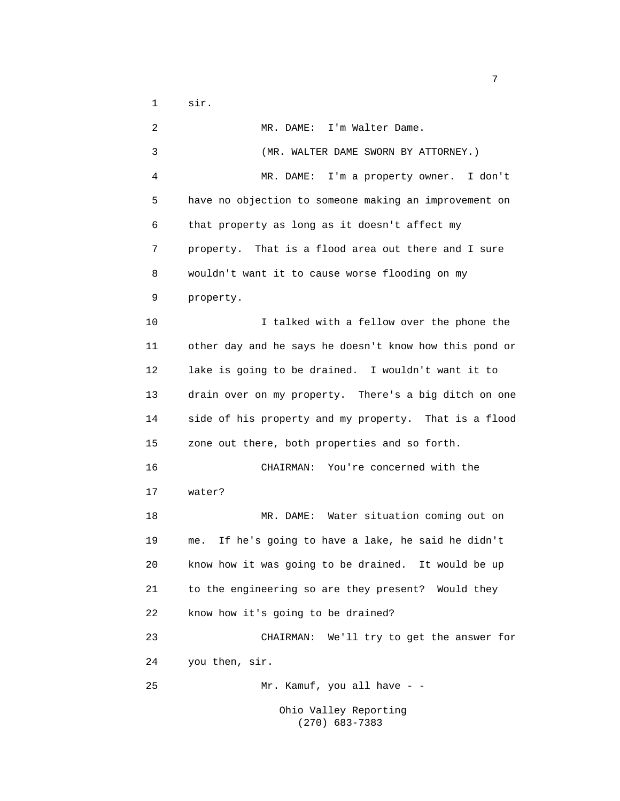1 sir.

 2 MR. DAME: I'm Walter Dame. 3 (MR. WALTER DAME SWORN BY ATTORNEY.) 4 MR. DAME: I'm a property owner. I don't 5 have no objection to someone making an improvement on 6 that property as long as it doesn't affect my 7 property. That is a flood area out there and I sure 8 wouldn't want it to cause worse flooding on my 9 property. 10 I talked with a fellow over the phone the 11 other day and he says he doesn't know how this pond or 12 lake is going to be drained. I wouldn't want it to 13 drain over on my property. There's a big ditch on one 14 side of his property and my property. That is a flood 15 zone out there, both properties and so forth. 16 CHAIRMAN: You're concerned with the 17 water? 18 MR. DAME: Water situation coming out on 19 me. If he's going to have a lake, he said he didn't 20 know how it was going to be drained. It would be up 21 to the engineering so are they present? Would they 22 know how it's going to be drained? 23 CHAIRMAN: We'll try to get the answer for 24 you then, sir. 25 Mr. Kamuf, you all have - - Ohio Valley Reporting

(270) 683-7383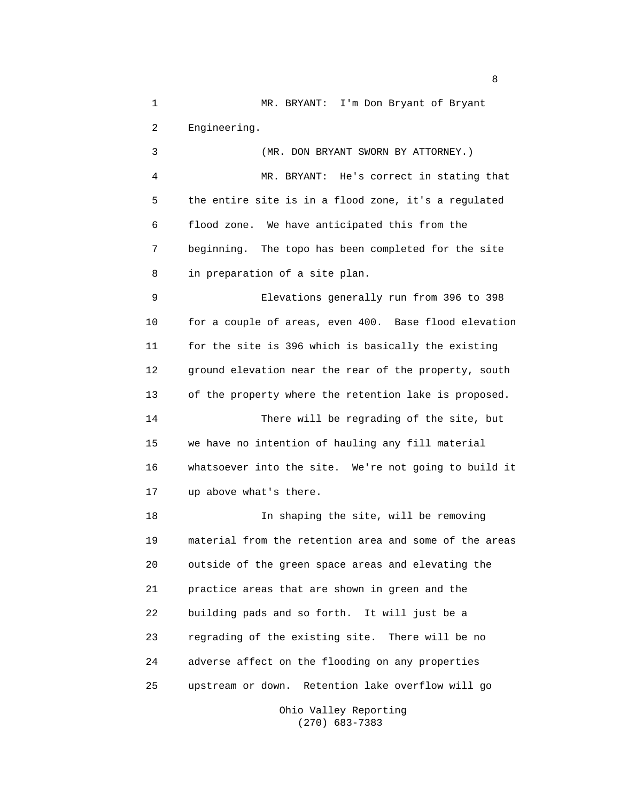1 MR. BRYANT: I'm Don Bryant of Bryant 2 Engineering. 3 (MR. DON BRYANT SWORN BY ATTORNEY.)

 4 MR. BRYANT: He's correct in stating that 5 the entire site is in a flood zone, it's a regulated 6 flood zone. We have anticipated this from the 7 beginning. The topo has been completed for the site 8 in preparation of a site plan.

 9 Elevations generally run from 396 to 398 10 for a couple of areas, even 400. Base flood elevation 11 for the site is 396 which is basically the existing 12 ground elevation near the rear of the property, south 13 of the property where the retention lake is proposed. 14 There will be regrading of the site, but 15 we have no intention of hauling any fill material 16 whatsoever into the site. We're not going to build it 17 up above what's there.

 18 In shaping the site, will be removing 19 material from the retention area and some of the areas 20 outside of the green space areas and elevating the 21 practice areas that are shown in green and the 22 building pads and so forth. It will just be a 23 regrading of the existing site. There will be no 24 adverse affect on the flooding on any properties 25 upstream or down. Retention lake overflow will go

> Ohio Valley Reporting (270) 683-7383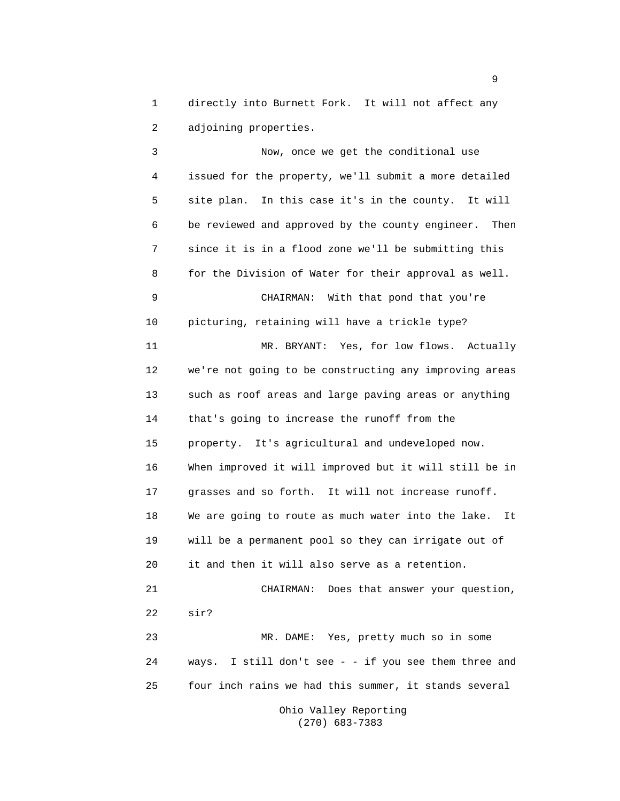1 directly into Burnett Fork. It will not affect any 2 adjoining properties.

 3 Now, once we get the conditional use 4 issued for the property, we'll submit a more detailed 5 site plan. In this case it's in the county. It will 6 be reviewed and approved by the county engineer. Then 7 since it is in a flood zone we'll be submitting this 8 for the Division of Water for their approval as well. 9 CHAIRMAN: With that pond that you're 10 picturing, retaining will have a trickle type? 11 MR. BRYANT: Yes, for low flows. Actually 12 we're not going to be constructing any improving areas 13 such as roof areas and large paving areas or anything 14 that's going to increase the runoff from the 15 property. It's agricultural and undeveloped now. 16 When improved it will improved but it will still be in 17 grasses and so forth. It will not increase runoff. 18 We are going to route as much water into the lake. It 19 will be a permanent pool so they can irrigate out of 20 it and then it will also serve as a retention. 21 CHAIRMAN: Does that answer your question, 22 sir? 23 MR. DAME: Yes, pretty much so in some 24 ways. I still don't see - - if you see them three and 25 four inch rains we had this summer, it stands several Ohio Valley Reporting

(270) 683-7383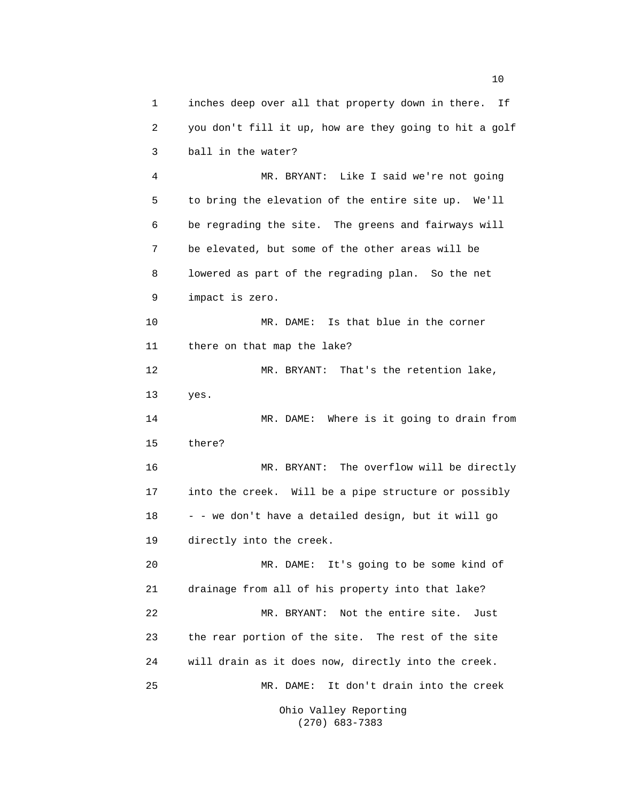1 inches deep over all that property down in there. If 2 you don't fill it up, how are they going to hit a golf 3 ball in the water? 4 MR. BRYANT: Like I said we're not going 5 to bring the elevation of the entire site up. We'll 6 be regrading the site. The greens and fairways will 7 be elevated, but some of the other areas will be 8 lowered as part of the regrading plan. So the net 9 impact is zero. 10 MR. DAME: Is that blue in the corner 11 there on that map the lake? 12 MR. BRYANT: That's the retention lake, 13 yes. 14 MR. DAME: Where is it going to drain from 15 there? 16 MR. BRYANT: The overflow will be directly 17 into the creek. Will be a pipe structure or possibly 18 - - we don't have a detailed design, but it will go 19 directly into the creek. 20 MR. DAME: It's going to be some kind of 21 drainage from all of his property into that lake? 22 MR. BRYANT: Not the entire site. Just 23 the rear portion of the site. The rest of the site 24 will drain as it does now, directly into the creek. 25 MR. DAME: It don't drain into the creek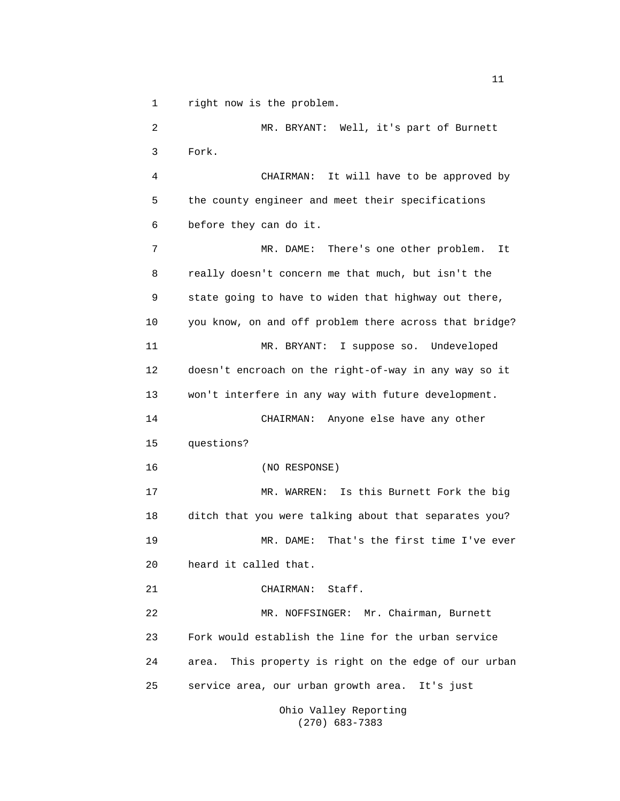1 right now is the problem.

 2 MR. BRYANT: Well, it's part of Burnett 3 Fork. 4 CHAIRMAN: It will have to be approved by 5 the county engineer and meet their specifications 6 before they can do it. 7 MR. DAME: There's one other problem. It 8 really doesn't concern me that much, but isn't the 9 state going to have to widen that highway out there, 10 you know, on and off problem there across that bridge? 11 MR. BRYANT: I suppose so. Undeveloped 12 doesn't encroach on the right-of-way in any way so it 13 won't interfere in any way with future development. 14 CHAIRMAN: Anyone else have any other 15 questions? 16 (NO RESPONSE) 17 MR. WARREN: Is this Burnett Fork the big 18 ditch that you were talking about that separates you? 19 MR. DAME: That's the first time I've ever 20 heard it called that. 21 CHAIRMAN: Staff. 22 MR. NOFFSINGER: Mr. Chairman, Burnett 23 Fork would establish the line for the urban service 24 area. This property is right on the edge of our urban 25 service area, our urban growth area. It's just

 Ohio Valley Reporting (270) 683-7383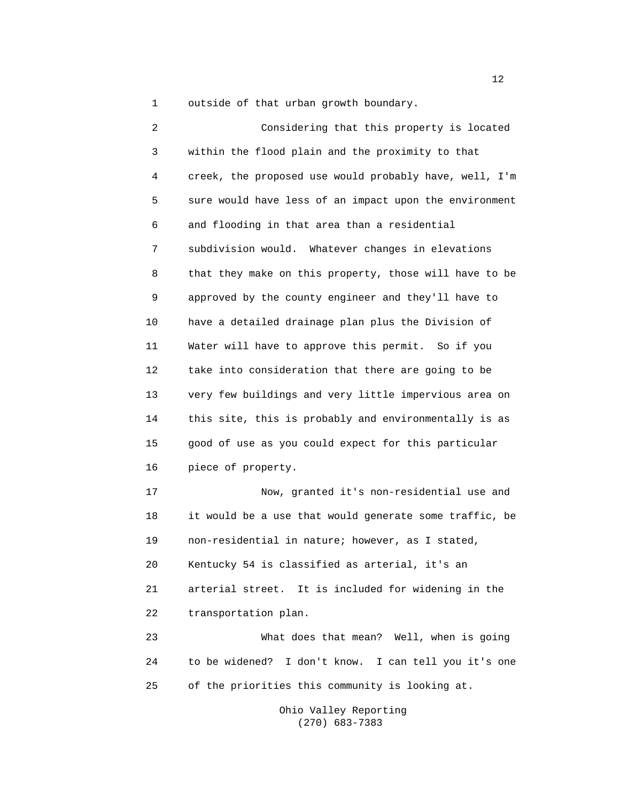1 outside of that urban growth boundary.

 2 Considering that this property is located 3 within the flood plain and the proximity to that 4 creek, the proposed use would probably have, well, I'm 5 sure would have less of an impact upon the environment 6 and flooding in that area than a residential 7 subdivision would. Whatever changes in elevations 8 that they make on this property, those will have to be 9 approved by the county engineer and they'll have to 10 have a detailed drainage plan plus the Division of 11 Water will have to approve this permit. So if you 12 take into consideration that there are going to be 13 very few buildings and very little impervious area on 14 this site, this is probably and environmentally is as 15 good of use as you could expect for this particular 16 piece of property. 17 Now, granted it's non-residential use and 18 it would be a use that would generate some traffic, be 19 non-residential in nature; however, as I stated, 20 Kentucky 54 is classified as arterial, it's an 21 arterial street. It is included for widening in the 22 transportation plan. 23 What does that mean? Well, when is going 24 to be widened? I don't know. I can tell you it's one 25 of the priorities this community is looking at.

> Ohio Valley Reporting (270) 683-7383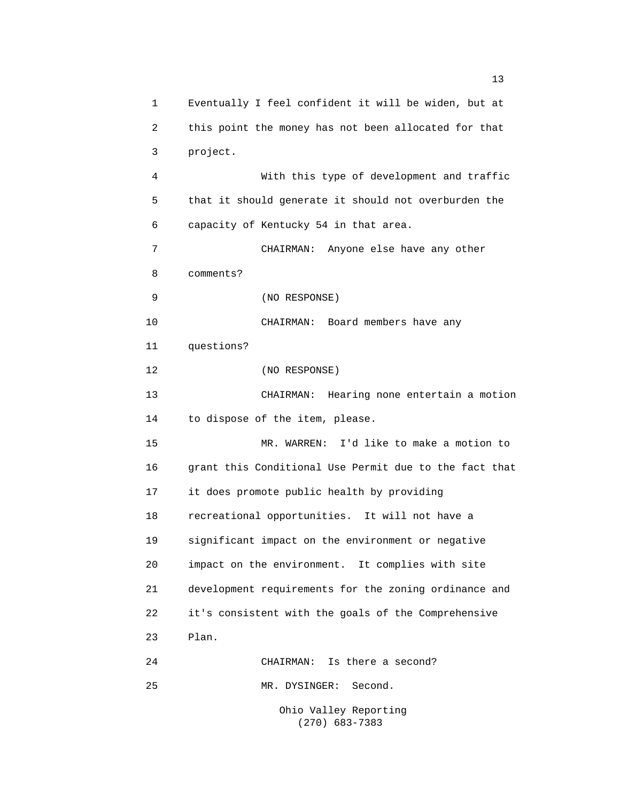1 Eventually I feel confident it will be widen, but at 2 this point the money has not been allocated for that 3 project. 4 With this type of development and traffic 5 that it should generate it should not overburden the 6 capacity of Kentucky 54 in that area. 7 CHAIRMAN: Anyone else have any other 8 comments? 9 (NO RESPONSE) 10 CHAIRMAN: Board members have any 11 questions? 12 (NO RESPONSE) 13 CHAIRMAN: Hearing none entertain a motion 14 to dispose of the item, please. 15 MR. WARREN: I'd like to make a motion to 16 grant this Conditional Use Permit due to the fact that 17 it does promote public health by providing 18 recreational opportunities. It will not have a 19 significant impact on the environment or negative 20 impact on the environment. It complies with site 21 development requirements for the zoning ordinance and 22 it's consistent with the goals of the Comprehensive 23 Plan. 24 CHAIRMAN: Is there a second? 25 MR. DYSINGER: Second. Ohio Valley Reporting

(270) 683-7383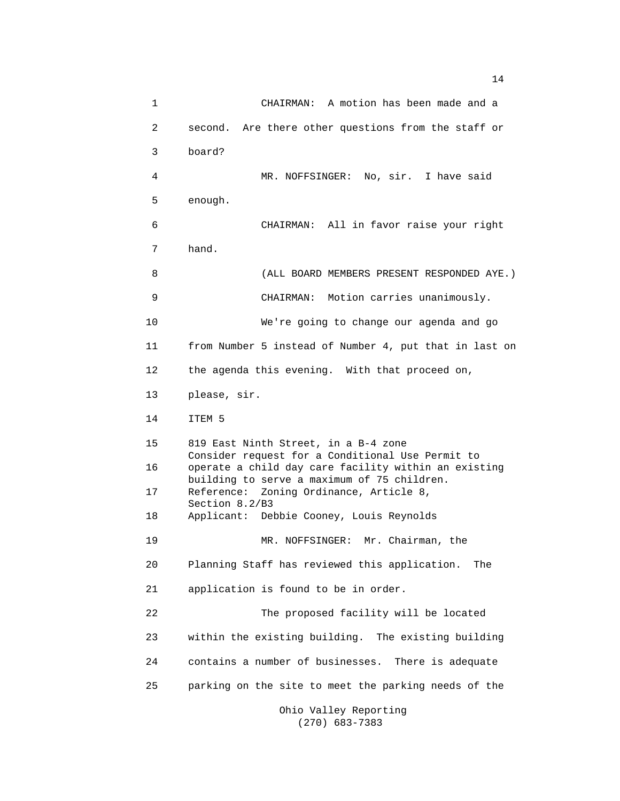1 CHAIRMAN: A motion has been made and a 2 second. Are there other questions from the staff or 3 board? 4 MR. NOFFSINGER: No, sir. I have said 5 enough. 6 CHAIRMAN: All in favor raise your right 7 hand. 8 (ALL BOARD MEMBERS PRESENT RESPONDED AYE.) 9 CHAIRMAN: Motion carries unanimously. 10 We're going to change our agenda and go 11 from Number 5 instead of Number 4, put that in last on 12 the agenda this evening. With that proceed on, 13 please, sir. 14 ITEM 5 15 819 East Ninth Street, in a B-4 zone Consider request for a Conditional Use Permit to 16 operate a child day care facility within an existing building to serve a maximum of 75 children. 17 Reference: Zoning Ordinance, Article 8, Section 8.2/B3 18 Applicant: Debbie Cooney, Louis Reynolds 19 MR. NOFFSINGER: Mr. Chairman, the 20 Planning Staff has reviewed this application. The 21 application is found to be in order. 22 The proposed facility will be located 23 within the existing building. The existing building 24 contains a number of businesses. There is adequate 25 parking on the site to meet the parking needs of the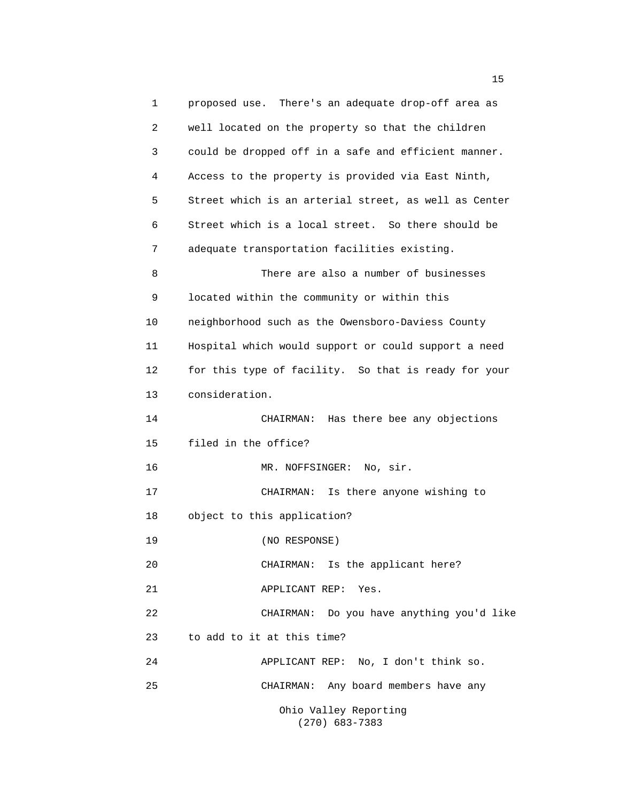1 proposed use. There's an adequate drop-off area as 2 well located on the property so that the children 3 could be dropped off in a safe and efficient manner. 4 Access to the property is provided via East Ninth, 5 Street which is an arterial street, as well as Center 6 Street which is a local street. So there should be 7 adequate transportation facilities existing. 8 There are also a number of businesses 9 located within the community or within this 10 neighborhood such as the Owensboro-Daviess County 11 Hospital which would support or could support a need 12 for this type of facility. So that is ready for your 13 consideration. 14 CHAIRMAN: Has there bee any objections 15 filed in the office? 16 MR. NOFFSINGER: No, sir. 17 CHAIRMAN: Is there anyone wishing to 18 object to this application? 19 (NO RESPONSE) 20 CHAIRMAN: Is the applicant here? 21 APPLICANT REP: Yes. 22 CHAIRMAN: Do you have anything you'd like 23 to add to it at this time? 24 APPLICANT REP: No, I don't think so. 25 CHAIRMAN: Any board members have any Ohio Valley Reporting (270) 683-7383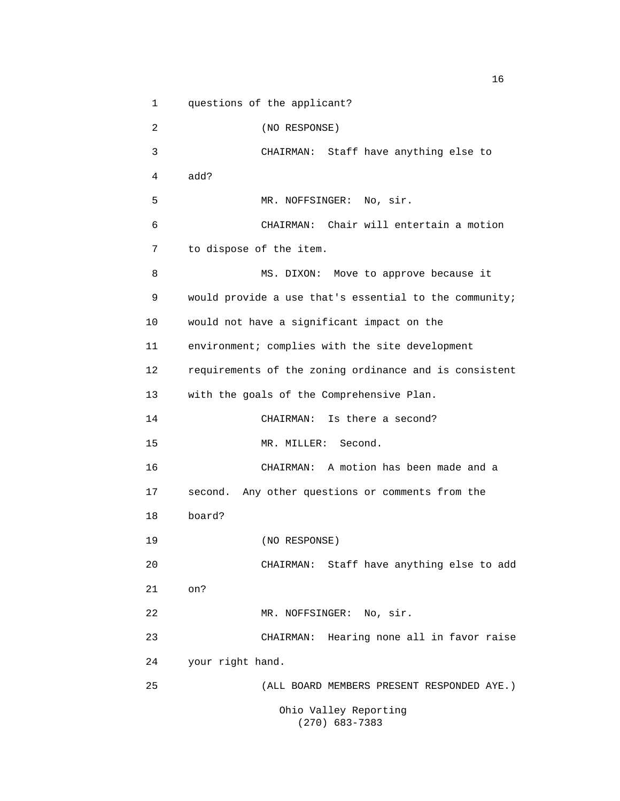1 questions of the applicant? 2 (NO RESPONSE) 3 CHAIRMAN: Staff have anything else to 4 add? 5 MR. NOFFSINGER: No, sir. 6 CHAIRMAN: Chair will entertain a motion 7 to dispose of the item. 8 MS. DIXON: Move to approve because it 9 would provide a use that's essential to the community; 10 would not have a significant impact on the 11 environment; complies with the site development 12 requirements of the zoning ordinance and is consistent 13 with the goals of the Comprehensive Plan. 14 CHAIRMAN: Is there a second? 15 MR. MILLER: Second. 16 CHAIRMAN: A motion has been made and a 17 second. Any other questions or comments from the 18 board? 19 (NO RESPONSE) 20 CHAIRMAN: Staff have anything else to add 21 on? 22 MR. NOFFSINGER: No, sir. 23 CHAIRMAN: Hearing none all in favor raise 24 your right hand. 25 (ALL BOARD MEMBERS PRESENT RESPONDED AYE.) Ohio Valley Reporting (270) 683-7383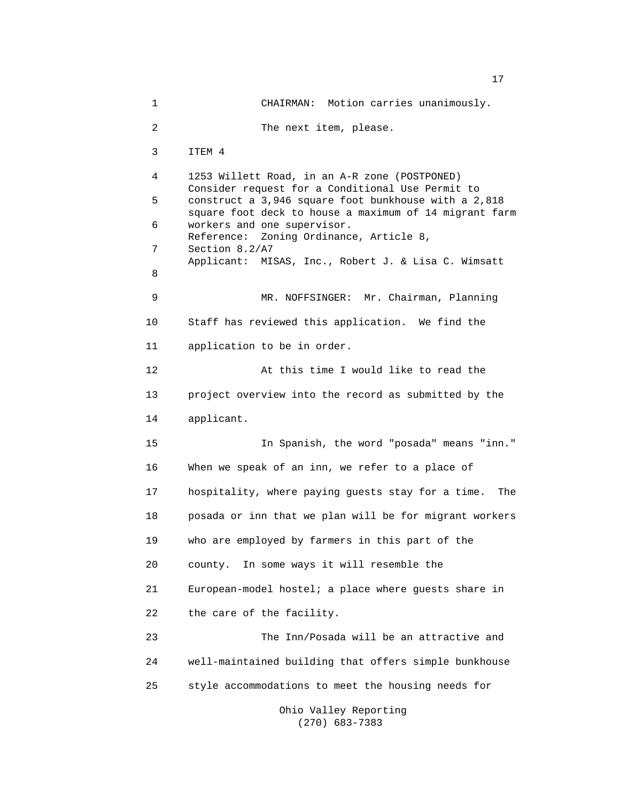1 CHAIRMAN: Motion carries unanimously. 2 The next item, please. 3 ITEM 4 4 1253 Willett Road, in an A-R zone (POSTPONED) Consider request for a Conditional Use Permit to 5 construct a 3,946 square foot bunkhouse with a 2,818 square foot deck to house a maximum of 14 migrant farm 6 workers and one supervisor. Reference: Zoning Ordinance, Article 8, 7 Section 8.2/A7 Applicant: MISAS, Inc., Robert J. & Lisa C. Wimsatt 8 9 MR. NOFFSINGER: Mr. Chairman, Planning 10 Staff has reviewed this application. We find the 11 application to be in order. 12 At this time I would like to read the 13 project overview into the record as submitted by the 14 applicant. 15 In Spanish, the word "posada" means "inn." 16 When we speak of an inn, we refer to a place of 17 hospitality, where paying guests stay for a time. The 18 posada or inn that we plan will be for migrant workers 19 who are employed by farmers in this part of the 20 county. In some ways it will resemble the 21 European-model hostel; a place where guests share in 22 the care of the facility. 23 The Inn/Posada will be an attractive and 24 well-maintained building that offers simple bunkhouse 25 style accommodations to meet the housing needs for Ohio Valley Reporting

(270) 683-7383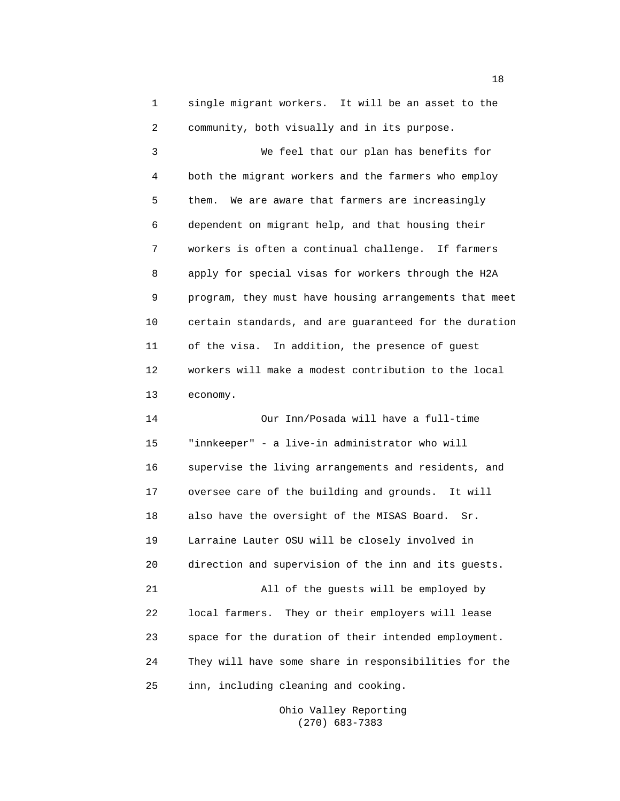1 single migrant workers. It will be an asset to the 2 community, both visually and in its purpose.

 3 We feel that our plan has benefits for 4 both the migrant workers and the farmers who employ 5 them. We are aware that farmers are increasingly 6 dependent on migrant help, and that housing their 7 workers is often a continual challenge. If farmers 8 apply for special visas for workers through the H2A 9 program, they must have housing arrangements that meet 10 certain standards, and are guaranteed for the duration 11 of the visa. In addition, the presence of guest 12 workers will make a modest contribution to the local 13 economy.

 14 Our Inn/Posada will have a full-time 15 "innkeeper" - a live-in administrator who will 16 supervise the living arrangements and residents, and 17 oversee care of the building and grounds. It will 18 also have the oversight of the MISAS Board. Sr. 19 Larraine Lauter OSU will be closely involved in 20 direction and supervision of the inn and its guests. 21 All of the guests will be employed by 22 local farmers. They or their employers will lease 23 space for the duration of their intended employment. 24 They will have some share in responsibilities for the 25 inn, including cleaning and cooking.

> Ohio Valley Reporting (270) 683-7383

n 18 ann an t-Iomraid ann an t-Iomraid ann an t-Iomraid ann an t-Iomraid ann an t-Iomraid ann an t-Iomraid ann an t-Iomraid ann an t-Iomraid ann an t-Iomraid ann an t-Iomraid ann an t-Iomraid ann an t-Iomraid ann an t-Iomr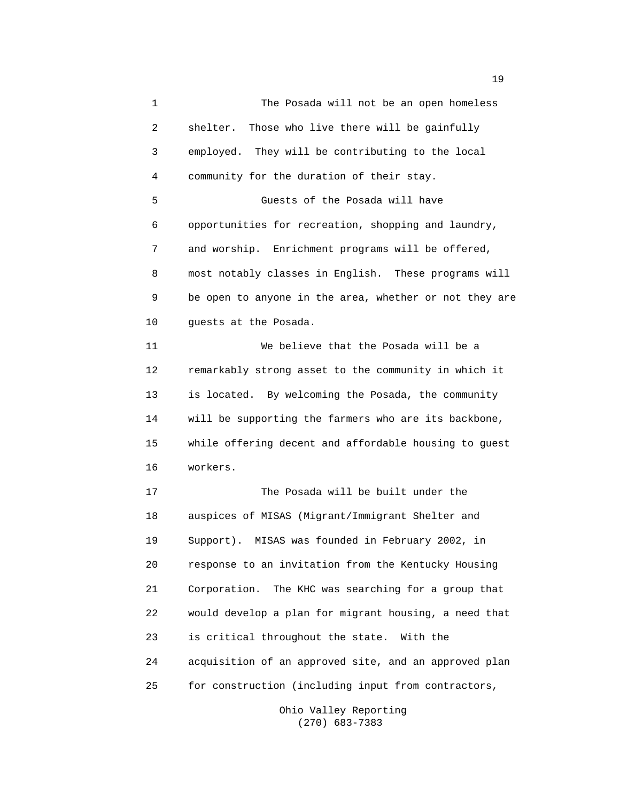1 The Posada will not be an open homeless 2 shelter. Those who live there will be gainfully 3 employed. They will be contributing to the local 4 community for the duration of their stay. 5 Guests of the Posada will have 6 opportunities for recreation, shopping and laundry, 7 and worship. Enrichment programs will be offered, 8 most notably classes in English. These programs will 9 be open to anyone in the area, whether or not they are 10 guests at the Posada. 11 We believe that the Posada will be a 12 remarkably strong asset to the community in which it 13 is located. By welcoming the Posada, the community 14 will be supporting the farmers who are its backbone, 15 while offering decent and affordable housing to guest 16 workers. 17 The Posada will be built under the 18 auspices of MISAS (Migrant/Immigrant Shelter and 19 Support). MISAS was founded in February 2002, in 20 response to an invitation from the Kentucky Housing 21 Corporation. The KHC was searching for a group that 22 would develop a plan for migrant housing, a need that 23 is critical throughout the state. With the 24 acquisition of an approved site, and an approved plan 25 for construction (including input from contractors,

> Ohio Valley Reporting (270) 683-7383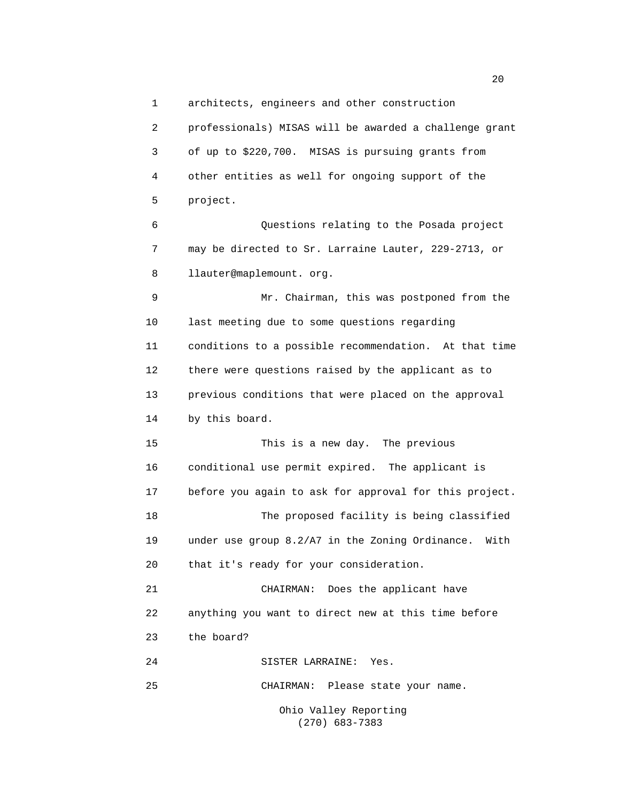1 architects, engineers and other construction

 2 professionals) MISAS will be awarded a challenge grant 3 of up to \$220,700. MISAS is pursuing grants from 4 other entities as well for ongoing support of the 5 project. 6 Questions relating to the Posada project 7 may be directed to Sr. Larraine Lauter, 229-2713, or 8 llauter@maplemount. org. 9 Mr. Chairman, this was postponed from the 10 last meeting due to some questions regarding 11 conditions to a possible recommendation. At that time 12 there were questions raised by the applicant as to 13 previous conditions that were placed on the approval 14 by this board. 15 This is a new day. The previous 16 conditional use permit expired. The applicant is 17 before you again to ask for approval for this project. 18 The proposed facility is being classified 19 under use group 8.2/A7 in the Zoning Ordinance. With 20 that it's ready for your consideration. 21 CHAIRMAN: Does the applicant have 22 anything you want to direct new at this time before 23 the board? 24 SISTER LARRAINE: Yes.

25 CHAIRMAN: Please state your name.

 Ohio Valley Reporting (270) 683-7383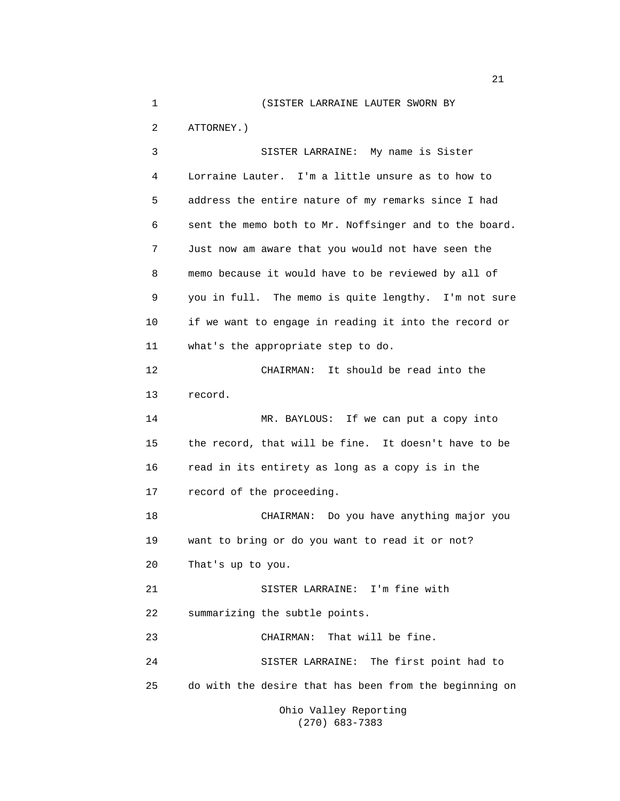1 (SISTER LARRAINE LAUTER SWORN BY

2 ATTORNEY.)

 3 SISTER LARRAINE: My name is Sister 4 Lorraine Lauter. I'm a little unsure as to how to 5 address the entire nature of my remarks since I had 6 sent the memo both to Mr. Noffsinger and to the board. 7 Just now am aware that you would not have seen the 8 memo because it would have to be reviewed by all of 9 you in full. The memo is quite lengthy. I'm not sure 10 if we want to engage in reading it into the record or 11 what's the appropriate step to do. 12 CHAIRMAN: It should be read into the 13 record. 14 MR. BAYLOUS: If we can put a copy into 15 the record, that will be fine. It doesn't have to be 16 read in its entirety as long as a copy is in the 17 record of the proceeding. 18 CHAIRMAN: Do you have anything major you 19 want to bring or do you want to read it or not? 20 That's up to you. 21 SISTER LARRAINE: I'm fine with 22 summarizing the subtle points. 23 CHAIRMAN: That will be fine. 24 SISTER LARRAINE: The first point had to 25 do with the desire that has been from the beginning on

 Ohio Valley Reporting (270) 683-7383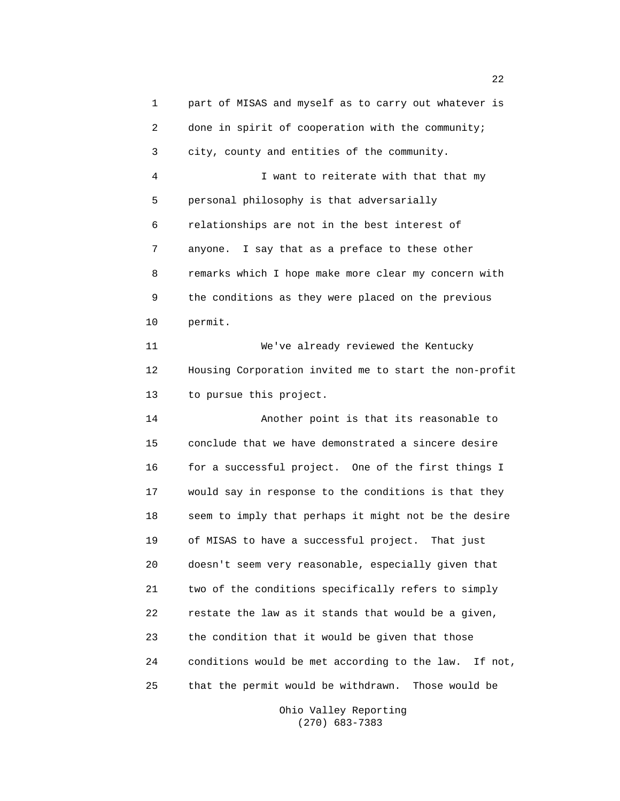1 part of MISAS and myself as to carry out whatever is 2 done in spirit of cooperation with the community; 3 city, county and entities of the community. 4 I want to reiterate with that that my 5 personal philosophy is that adversarially 6 relationships are not in the best interest of 7 anyone. I say that as a preface to these other 8 remarks which I hope make more clear my concern with 9 the conditions as they were placed on the previous 10 permit. 11 We've already reviewed the Kentucky 12 Housing Corporation invited me to start the non-profit 13 to pursue this project. 14 Another point is that its reasonable to 15 conclude that we have demonstrated a sincere desire 16 for a successful project. One of the first things I 17 would say in response to the conditions is that they 18 seem to imply that perhaps it might not be the desire 19 of MISAS to have a successful project. That just 20 doesn't seem very reasonable, especially given that 21 two of the conditions specifically refers to simply 22 restate the law as it stands that would be a given, 23 the condition that it would be given that those 24 conditions would be met according to the law. If not, 25 that the permit would be withdrawn. Those would be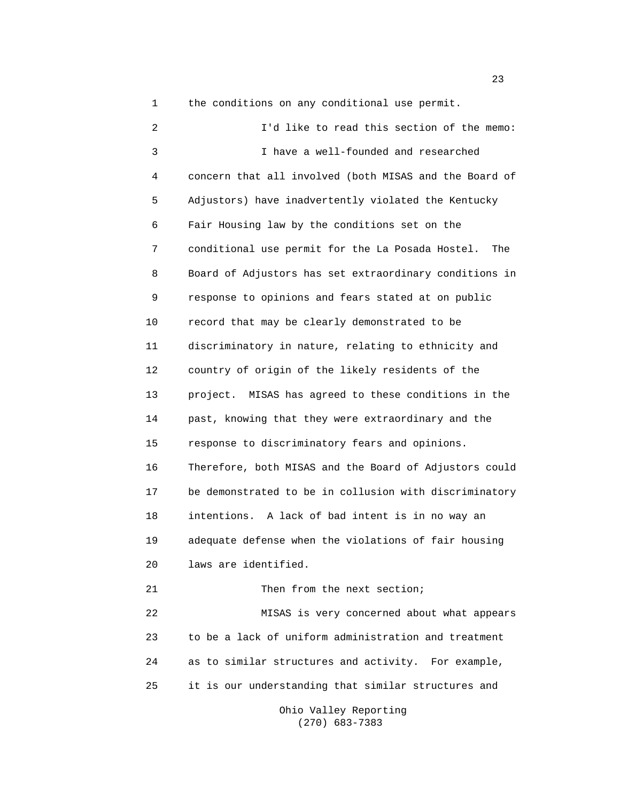1 the conditions on any conditional use permit.

 2 I'd like to read this section of the memo: 3 I have a well-founded and researched 4 concern that all involved (both MISAS and the Board of 5 Adjustors) have inadvertently violated the Kentucky 6 Fair Housing law by the conditions set on the 7 conditional use permit for the La Posada Hostel. The 8 Board of Adjustors has set extraordinary conditions in 9 response to opinions and fears stated at on public 10 record that may be clearly demonstrated to be 11 discriminatory in nature, relating to ethnicity and 12 country of origin of the likely residents of the 13 project. MISAS has agreed to these conditions in the 14 past, knowing that they were extraordinary and the 15 response to discriminatory fears and opinions. 16 Therefore, both MISAS and the Board of Adjustors could 17 be demonstrated to be in collusion with discriminatory 18 intentions. A lack of bad intent is in no way an 19 adequate defense when the violations of fair housing 20 laws are identified. 21 Then from the next section; 22 MISAS is very concerned about what appears 23 to be a lack of uniform administration and treatment 24 as to similar structures and activity. For example, 25 it is our understanding that similar structures and

 Ohio Valley Reporting (270) 683-7383

23 and 23 and 23 and 23 and 23 and 23 and 23 and 23 and 23 and 23 and 23 and 23 and 23 and 23 and 23 and 23 and 23 and 24 and 25 and 25 and 26 and 26 and 26 and 26 and 26 and 26 and 26 and 26 and 26 and 26 and 26 and 26 an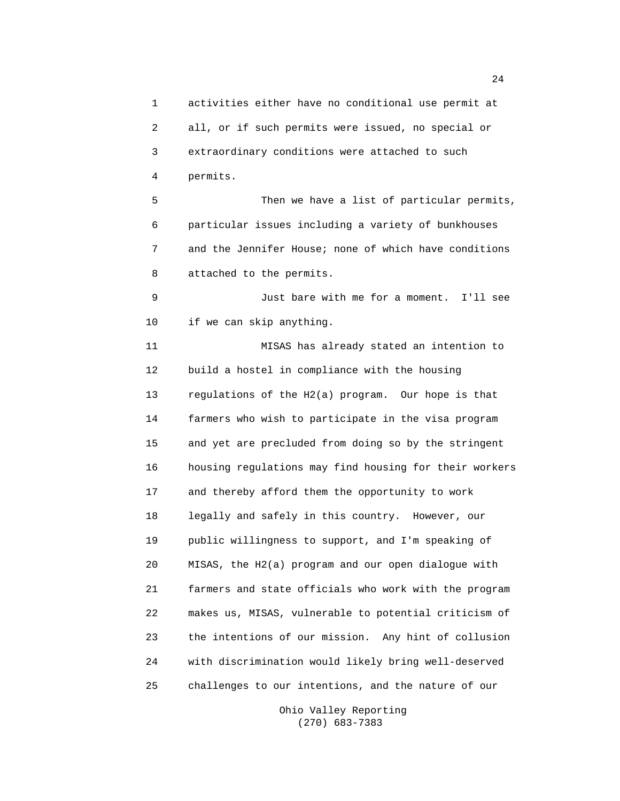1 activities either have no conditional use permit at 2 all, or if such permits were issued, no special or 3 extraordinary conditions were attached to such 4 permits. 5 Then we have a list of particular permits, 6 particular issues including a variety of bunkhouses 7 and the Jennifer House; none of which have conditions 8 attached to the permits. 9 Just bare with me for a moment. I'll see 10 if we can skip anything. 11 MISAS has already stated an intention to 12 build a hostel in compliance with the housing 13 regulations of the H2(a) program. Our hope is that 14 farmers who wish to participate in the visa program 15 and yet are precluded from doing so by the stringent 16 housing regulations may find housing for their workers 17 and thereby afford them the opportunity to work 18 legally and safely in this country. However, our 19 public willingness to support, and I'm speaking of 20 MISAS, the H2(a) program and our open dialogue with 21 farmers and state officials who work with the program 22 makes us, MISAS, vulnerable to potential criticism of 23 the intentions of our mission. Any hint of collusion 24 with discrimination would likely bring well-deserved 25 challenges to our intentions, and the nature of our

> Ohio Valley Reporting (270) 683-7383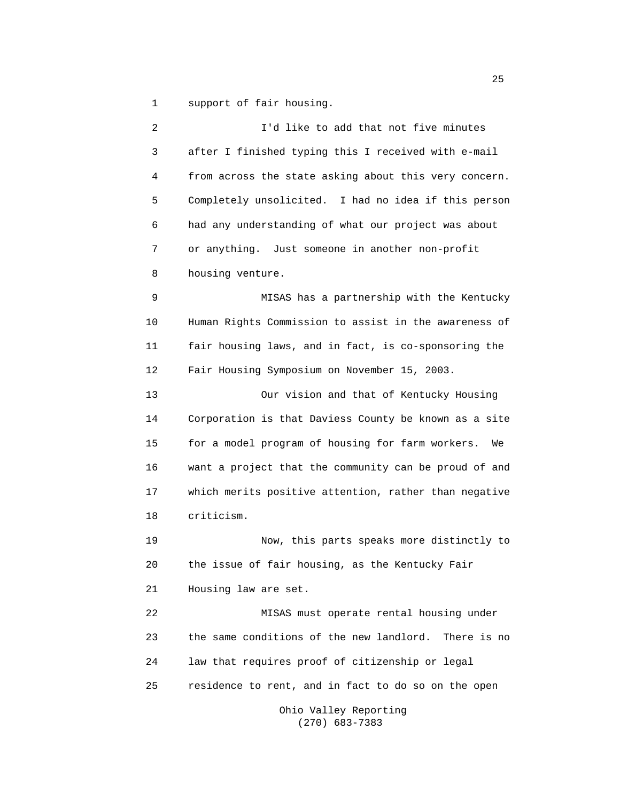1 support of fair housing.

 2 I'd like to add that not five minutes 3 after I finished typing this I received with e-mail 4 from across the state asking about this very concern. 5 Completely unsolicited. I had no idea if this person 6 had any understanding of what our project was about 7 or anything. Just someone in another non-profit 8 housing venture. 9 MISAS has a partnership with the Kentucky 10 Human Rights Commission to assist in the awareness of 11 fair housing laws, and in fact, is co-sponsoring the 12 Fair Housing Symposium on November 15, 2003. 13 Our vision and that of Kentucky Housing 14 Corporation is that Daviess County be known as a site 15 for a model program of housing for farm workers. We 16 want a project that the community can be proud of and 17 which merits positive attention, rather than negative 18 criticism. 19 Now, this parts speaks more distinctly to 20 the issue of fair housing, as the Kentucky Fair 21 Housing law are set. 22 MISAS must operate rental housing under 23 the same conditions of the new landlord. There is no 24 law that requires proof of citizenship or legal 25 residence to rent, and in fact to do so on the open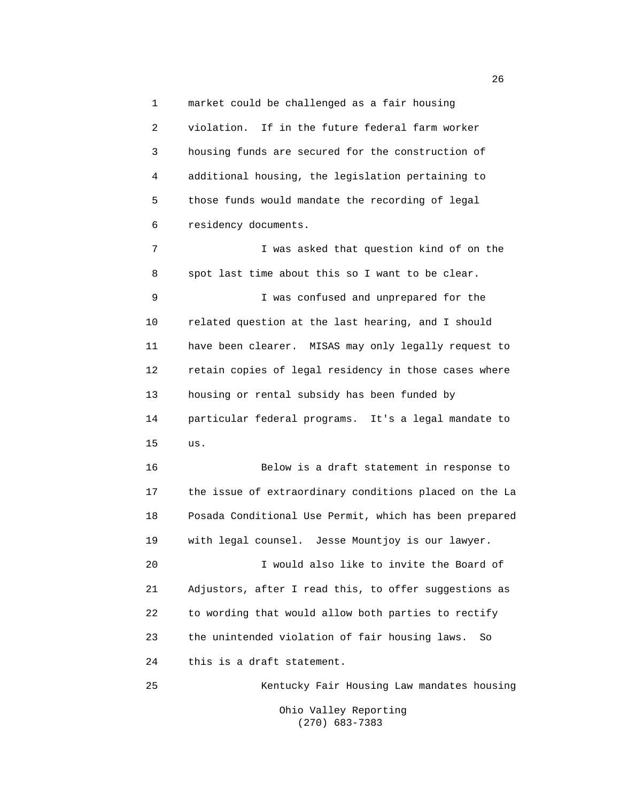1 market could be challenged as a fair housing 2 violation. If in the future federal farm worker 3 housing funds are secured for the construction of 4 additional housing, the legislation pertaining to 5 those funds would mandate the recording of legal 6 residency documents.

 7 I was asked that question kind of on the 8 spot last time about this so I want to be clear. 9 I was confused and unprepared for the 10 related question at the last hearing, and I should 11 have been clearer. MISAS may only legally request to 12 retain copies of legal residency in those cases where 13 housing or rental subsidy has been funded by 14 particular federal programs. It's a legal mandate to 15 us.

 16 Below is a draft statement in response to 17 the issue of extraordinary conditions placed on the La 18 Posada Conditional Use Permit, which has been prepared 19 with legal counsel. Jesse Mountjoy is our lawyer.

 20 I would also like to invite the Board of 21 Adjustors, after I read this, to offer suggestions as 22 to wording that would allow both parties to rectify 23 the unintended violation of fair housing laws. So 24 this is a draft statement.

 25 Kentucky Fair Housing Law mandates housing Ohio Valley Reporting (270) 683-7383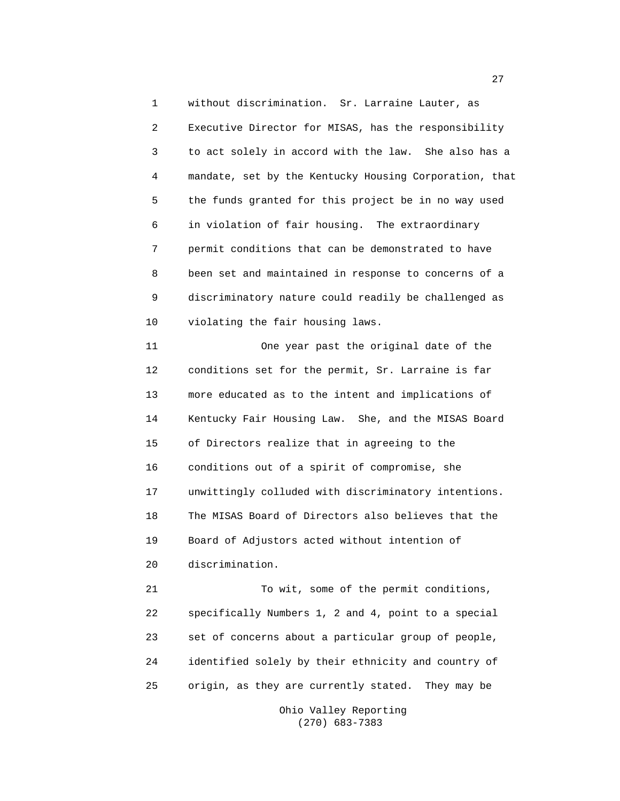1 without discrimination. Sr. Larraine Lauter, as 2 Executive Director for MISAS, has the responsibility 3 to act solely in accord with the law. She also has a 4 mandate, set by the Kentucky Housing Corporation, that 5 the funds granted for this project be in no way used 6 in violation of fair housing. The extraordinary 7 permit conditions that can be demonstrated to have 8 been set and maintained in response to concerns of a 9 discriminatory nature could readily be challenged as 10 violating the fair housing laws.

 11 One year past the original date of the 12 conditions set for the permit, Sr. Larraine is far 13 more educated as to the intent and implications of 14 Kentucky Fair Housing Law. She, and the MISAS Board 15 of Directors realize that in agreeing to the 16 conditions out of a spirit of compromise, she 17 unwittingly colluded with discriminatory intentions. 18 The MISAS Board of Directors also believes that the 19 Board of Adjustors acted without intention of 20 discrimination.

 21 To wit, some of the permit conditions, 22 specifically Numbers 1, 2 and 4, point to a special 23 set of concerns about a particular group of people, 24 identified solely by their ethnicity and country of 25 origin, as they are currently stated. They may be

> Ohio Valley Reporting (270) 683-7383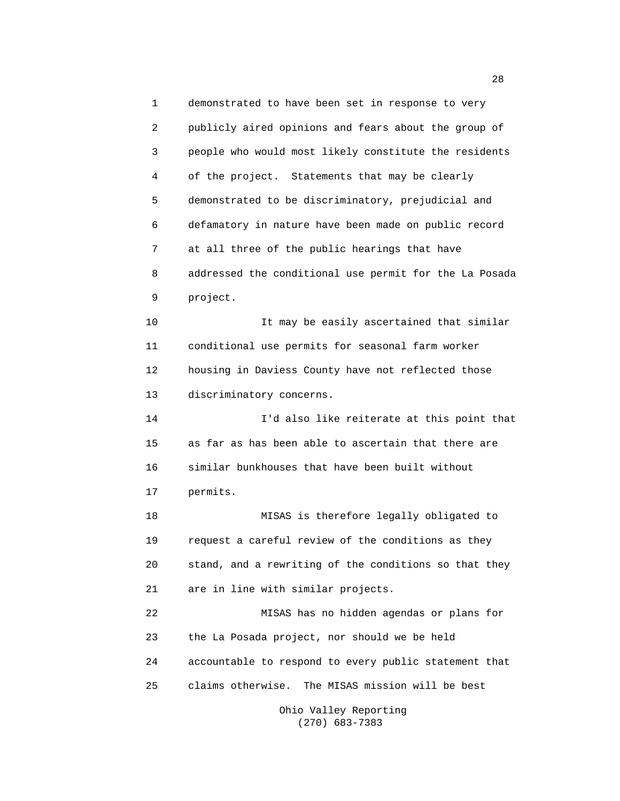1 demonstrated to have been set in response to very 2 publicly aired opinions and fears about the group of 3 people who would most likely constitute the residents 4 of the project. Statements that may be clearly 5 demonstrated to be discriminatory, prejudicial and 6 defamatory in nature have been made on public record 7 at all three of the public hearings that have 8 addressed the conditional use permit for the La Posada 9 project. 10 It may be easily ascertained that similar 11 conditional use permits for seasonal farm worker 12 housing in Daviess County have not reflected those 13 discriminatory concerns. 14 I'd also like reiterate at this point that 15 as far as has been able to ascertain that there are 16 similar bunkhouses that have been built without 17 permits. 18 MISAS is therefore legally obligated to 19 request a careful review of the conditions as they 20 stand, and a rewriting of the conditions so that they 21 are in line with similar projects. 22 MISAS has no hidden agendas or plans for 23 the La Posada project, nor should we be held 24 accountable to respond to every public statement that 25 claims otherwise. The MISAS mission will be best

> Ohio Valley Reporting (270) 683-7383

28 and 28 and 28 and 28 and 28 and 28 and 28 and 28 and 28 and 28 and 28 and 28 and 28 and 28 and 28 and 28 and 28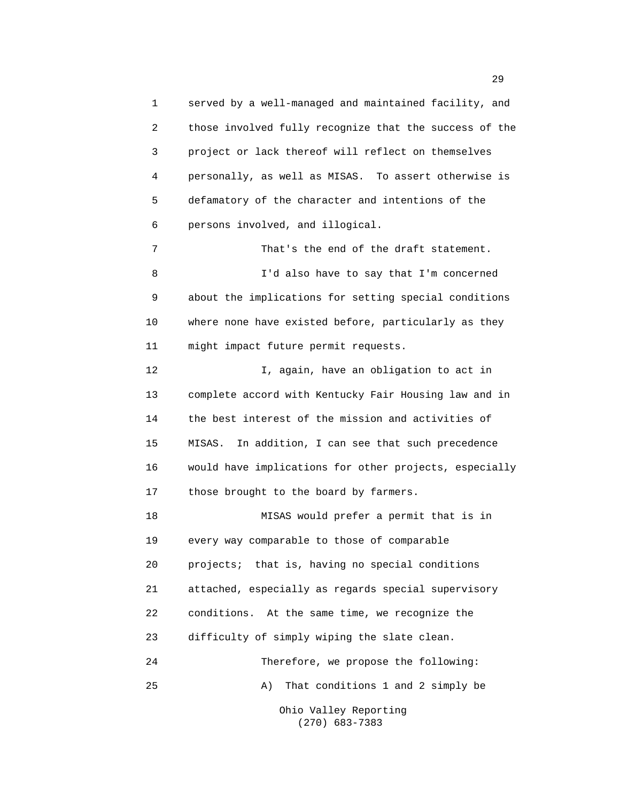1 served by a well-managed and maintained facility, and 2 those involved fully recognize that the success of the 3 project or lack thereof will reflect on themselves 4 personally, as well as MISAS. To assert otherwise is 5 defamatory of the character and intentions of the 6 persons involved, and illogical. 7 That's the end of the draft statement. 8 I'd also have to say that I'm concerned 9 about the implications for setting special conditions 10 where none have existed before, particularly as they 11 might impact future permit requests. 12 I, again, have an obligation to act in 13 complete accord with Kentucky Fair Housing law and in 14 the best interest of the mission and activities of 15 MISAS. In addition, I can see that such precedence 16 would have implications for other projects, especially 17 those brought to the board by farmers. 18 MISAS would prefer a permit that is in 19 every way comparable to those of comparable 20 projects; that is, having no special conditions 21 attached, especially as regards special supervisory 22 conditions. At the same time, we recognize the 23 difficulty of simply wiping the slate clean. 24 Therefore, we propose the following: 25 A) That conditions 1 and 2 simply be Ohio Valley Reporting

(270) 683-7383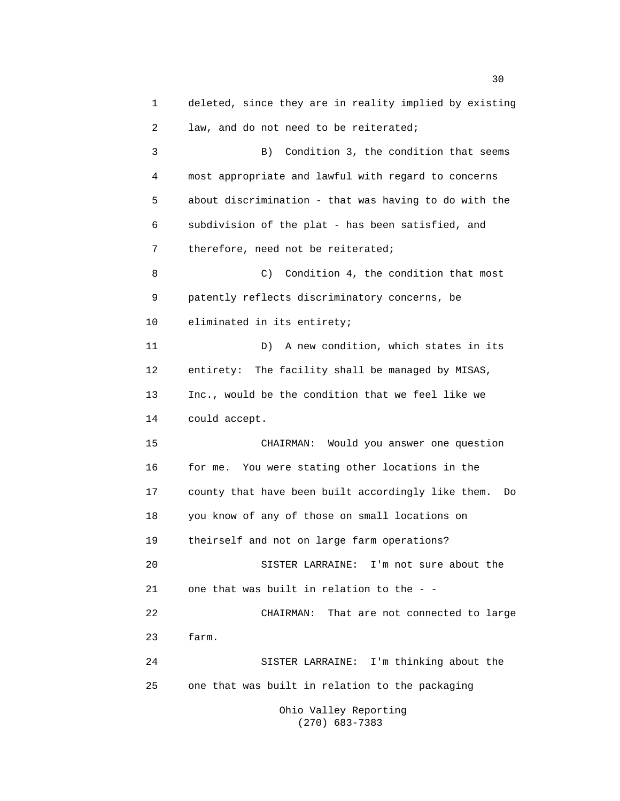1 deleted, since they are in reality implied by existing 2 law, and do not need to be reiterated; 3 B) Condition 3, the condition that seems 4 most appropriate and lawful with regard to concerns 5 about discrimination - that was having to do with the 6 subdivision of the plat - has been satisfied, and 7 therefore, need not be reiterated; 8 C) Condition 4, the condition that most 9 patently reflects discriminatory concerns, be 10 eliminated in its entirety; 11 D) A new condition, which states in its 12 entirety: The facility shall be managed by MISAS, 13 Inc., would be the condition that we feel like we 14 could accept. 15 CHAIRMAN: Would you answer one question 16 for me. You were stating other locations in the 17 county that have been built accordingly like them. Do 18 you know of any of those on small locations on 19 theirself and not on large farm operations? 20 SISTER LARRAINE: I'm not sure about the 21 one that was built in relation to the -- 22 CHAIRMAN: That are not connected to large 23 farm. 24 SISTER LARRAINE: I'm thinking about the 25 one that was built in relation to the packaging Ohio Valley Reporting

(270) 683-7383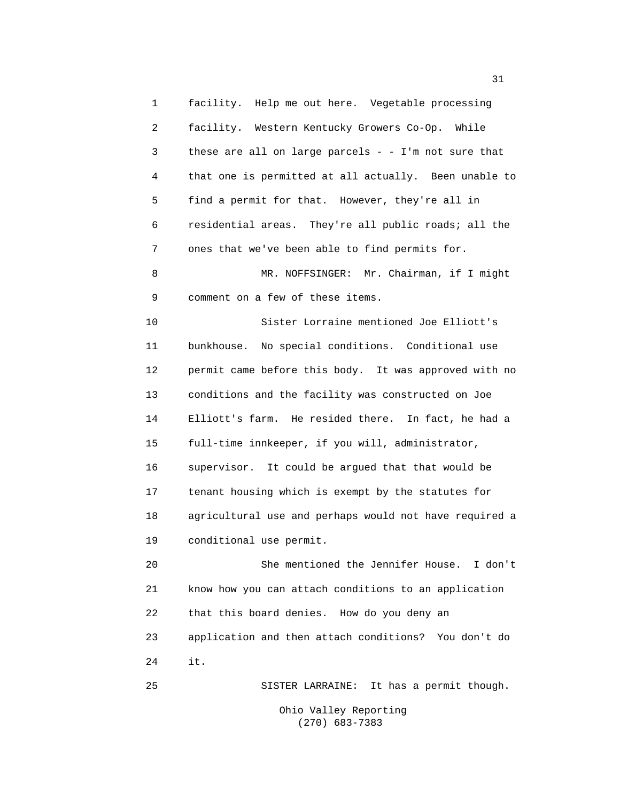1 facility. Help me out here. Vegetable processing 2 facility. Western Kentucky Growers Co-Op. While 3 these are all on large parcels - - I'm not sure that 4 that one is permitted at all actually. Been unable to 5 find a permit for that. However, they're all in 6 residential areas. They're all public roads; all the 7 ones that we've been able to find permits for. 8 MR. NOFFSINGER: Mr. Chairman, if I might 9 comment on a few of these items. 10 Sister Lorraine mentioned Joe Elliott's 11 bunkhouse. No special conditions. Conditional use 12 permit came before this body. It was approved with no 13 conditions and the facility was constructed on Joe

 14 Elliott's farm. He resided there. In fact, he had a 15 full-time innkeeper, if you will, administrator, 16 supervisor. It could be argued that that would be 17 tenant housing which is exempt by the statutes for 18 agricultural use and perhaps would not have required a 19 conditional use permit.

 20 She mentioned the Jennifer House. I don't 21 know how you can attach conditions to an application 22 that this board denies. How do you deny an 23 application and then attach conditions? You don't do 24 it.

25 SISTER LARRAINE: It has a permit though.

 Ohio Valley Reporting (270) 683-7383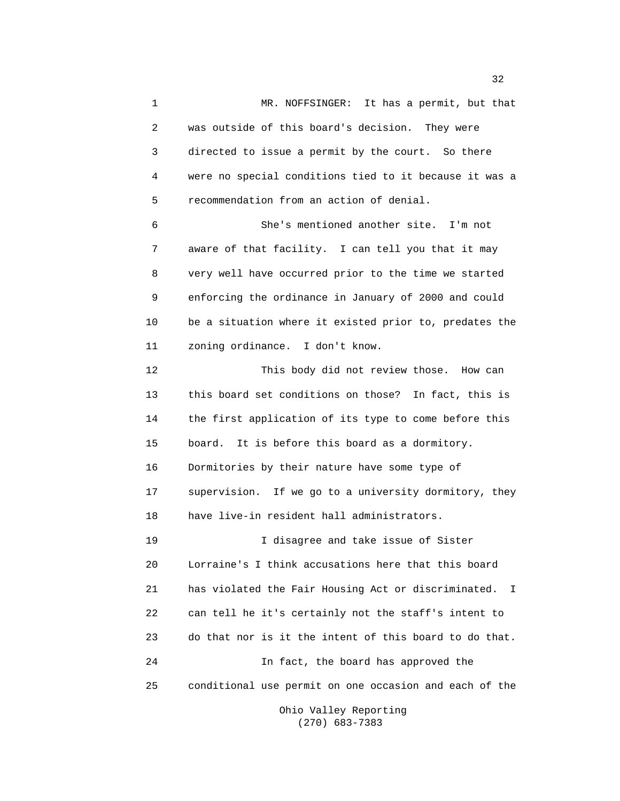1 MR. NOFFSINGER: It has a permit, but that 2 was outside of this board's decision. They were 3 directed to issue a permit by the court. So there 4 were no special conditions tied to it because it was a 5 recommendation from an action of denial. 6 She's mentioned another site. I'm not 7 aware of that facility. I can tell you that it may 8 very well have occurred prior to the time we started 9 enforcing the ordinance in January of 2000 and could 10 be a situation where it existed prior to, predates the 11 zoning ordinance. I don't know. 12 This body did not review those. How can 13 this board set conditions on those? In fact, this is 14 the first application of its type to come before this 15 board. It is before this board as a dormitory. 16 Dormitories by their nature have some type of 17 supervision. If we go to a university dormitory, they 18 have live-in resident hall administrators. 19 I disagree and take issue of Sister 20 Lorraine's I think accusations here that this board 21 has violated the Fair Housing Act or discriminated. I 22 can tell he it's certainly not the staff's intent to 23 do that nor is it the intent of this board to do that. 24 In fact, the board has approved the 25 conditional use permit on one occasion and each of the

 Ohio Valley Reporting (270) 683-7383

 $32<sup>2</sup>$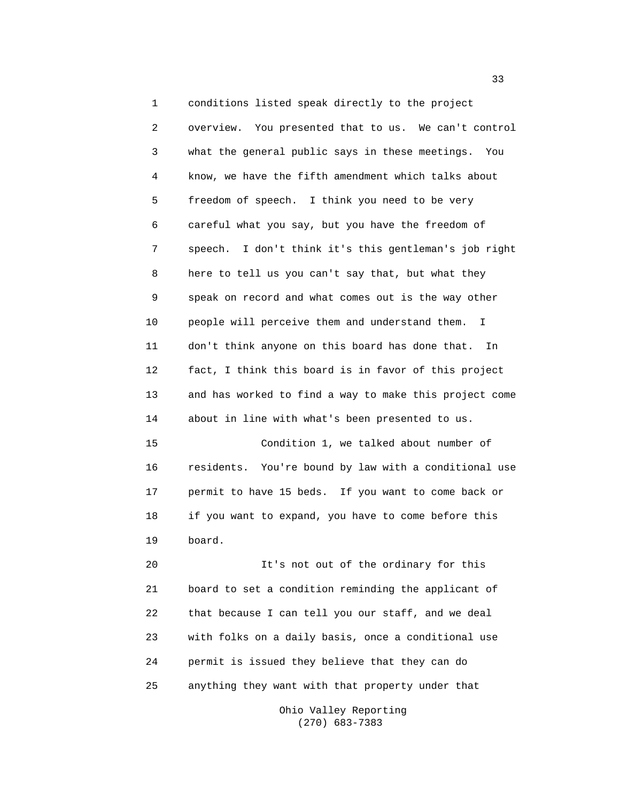1 conditions listed speak directly to the project 2 overview. You presented that to us. We can't control 3 what the general public says in these meetings. You 4 know, we have the fifth amendment which talks about 5 freedom of speech. I think you need to be very 6 careful what you say, but you have the freedom of 7 speech. I don't think it's this gentleman's job right 8 here to tell us you can't say that, but what they 9 speak on record and what comes out is the way other 10 people will perceive them and understand them. I 11 don't think anyone on this board has done that. In 12 fact, I think this board is in favor of this project 13 and has worked to find a way to make this project come 14 about in line with what's been presented to us. 15 Condition 1, we talked about number of 16 residents. You're bound by law with a conditional use 17 permit to have 15 beds. If you want to come back or 18 if you want to expand, you have to come before this 19 board. 20 It's not out of the ordinary for this

 21 board to set a condition reminding the applicant of 22 that because I can tell you our staff, and we deal 23 with folks on a daily basis, once a conditional use 24 permit is issued they believe that they can do 25 anything they want with that property under that

> Ohio Valley Reporting (270) 683-7383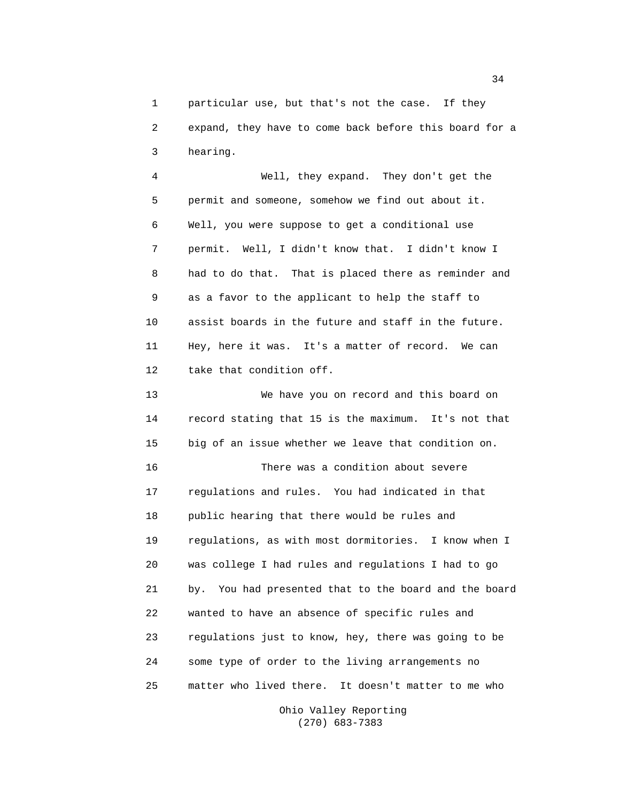1 particular use, but that's not the case. If they 2 expand, they have to come back before this board for a 3 hearing.

 4 Well, they expand. They don't get the 5 permit and someone, somehow we find out about it. 6 Well, you were suppose to get a conditional use 7 permit. Well, I didn't know that. I didn't know I 8 had to do that. That is placed there as reminder and 9 as a favor to the applicant to help the staff to 10 assist boards in the future and staff in the future. 11 Hey, here it was. It's a matter of record. We can 12 take that condition off.

 13 We have you on record and this board on 14 record stating that 15 is the maximum. It's not that 15 big of an issue whether we leave that condition on. 16 There was a condition about severe 17 regulations and rules. You had indicated in that 18 public hearing that there would be rules and 19 regulations, as with most dormitories. I know when I 20 was college I had rules and regulations I had to go 21 by. You had presented that to the board and the board 22 wanted to have an absence of specific rules and 23 regulations just to know, hey, there was going to be 24 some type of order to the living arrangements no 25 matter who lived there. It doesn't matter to me who

> Ohio Valley Reporting (270) 683-7383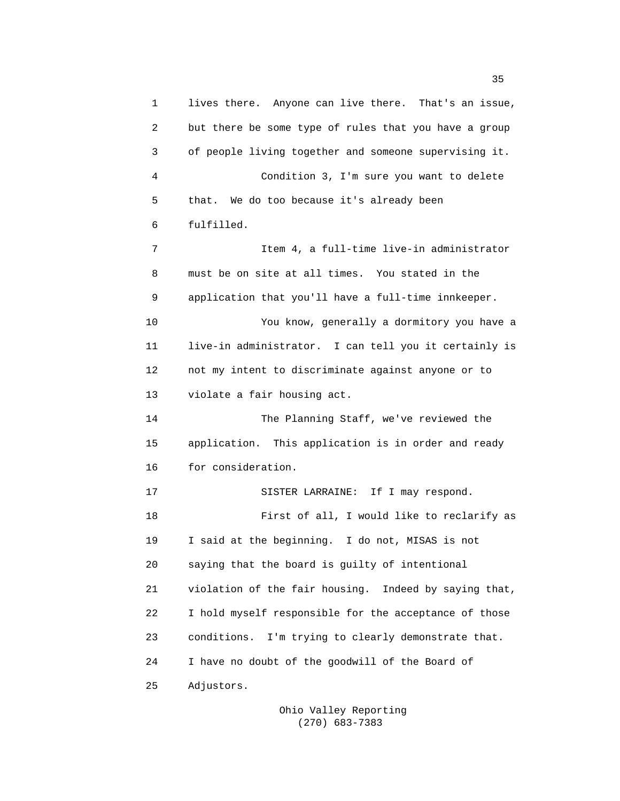1 lives there. Anyone can live there. That's an issue, 2 but there be some type of rules that you have a group 3 of people living together and someone supervising it. 4 Condition 3, I'm sure you want to delete 5 that. We do too because it's already been 6 fulfilled. 7 Item 4, a full-time live-in administrator 8 must be on site at all times. You stated in the 9 application that you'll have a full-time innkeeper. 10 You know, generally a dormitory you have a 11 live-in administrator. I can tell you it certainly is 12 not my intent to discriminate against anyone or to 13 violate a fair housing act. 14 The Planning Staff, we've reviewed the 15 application. This application is in order and ready 16 for consideration. 17 SISTER LARRAINE: If I may respond. 18 First of all, I would like to reclarify as 19 I said at the beginning. I do not, MISAS is not 20 saying that the board is guilty of intentional 21 violation of the fair housing. Indeed by saying that, 22 I hold myself responsible for the acceptance of those 23 conditions. I'm trying to clearly demonstrate that. 24 I have no doubt of the goodwill of the Board of 25 Adjustors.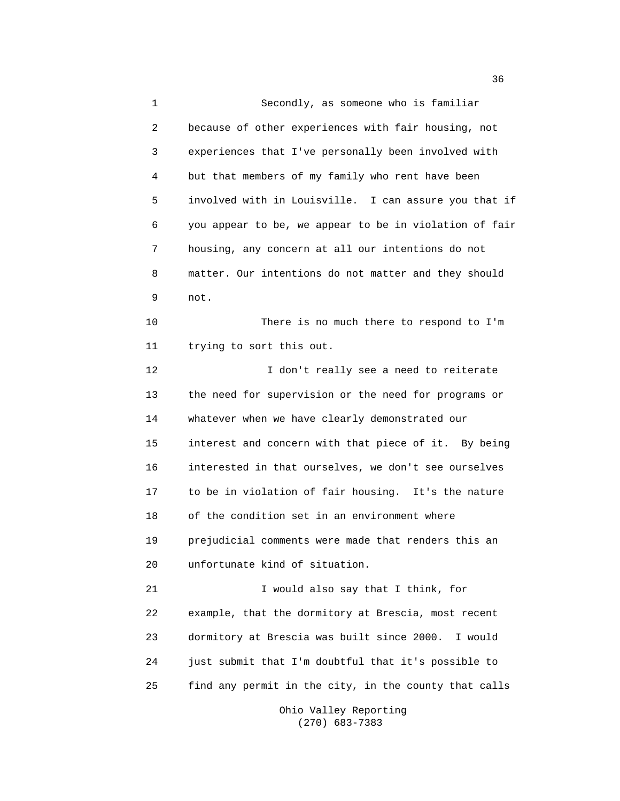1 Secondly, as someone who is familiar 2 because of other experiences with fair housing, not 3 experiences that I've personally been involved with 4 but that members of my family who rent have been 5 involved with in Louisville. I can assure you that if 6 you appear to be, we appear to be in violation of fair 7 housing, any concern at all our intentions do not 8 matter. Our intentions do not matter and they should 9 not. 10 There is no much there to respond to I'm 11 trying to sort this out. 12 I don't really see a need to reiterate 13 the need for supervision or the need for programs or 14 whatever when we have clearly demonstrated our 15 interest and concern with that piece of it. By being 16 interested in that ourselves, we don't see ourselves 17 to be in violation of fair housing. It's the nature 18 of the condition set in an environment where 19 prejudicial comments were made that renders this an 20 unfortunate kind of situation. 21 I would also say that I think, for 22 example, that the dormitory at Brescia, most recent 23 dormitory at Brescia was built since 2000. I would 24 just submit that I'm doubtful that it's possible to 25 find any permit in the city, in the county that calls

 Ohio Valley Reporting (270) 683-7383

 $36<sup>2</sup>$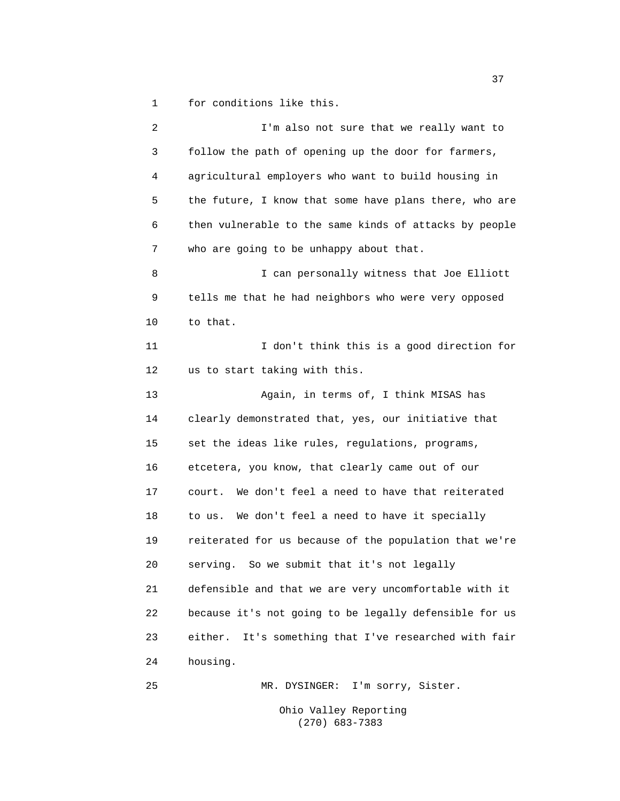1 for conditions like this.

 2 I'm also not sure that we really want to 3 follow the path of opening up the door for farmers, 4 agricultural employers who want to build housing in 5 the future, I know that some have plans there, who are 6 then vulnerable to the same kinds of attacks by people 7 who are going to be unhappy about that. 8 I can personally witness that Joe Elliott 9 tells me that he had neighbors who were very opposed 10 to that. 11 I don't think this is a good direction for 12 us to start taking with this. 13 Again, in terms of, I think MISAS has 14 clearly demonstrated that, yes, our initiative that 15 set the ideas like rules, regulations, programs, 16 etcetera, you know, that clearly came out of our 17 court. We don't feel a need to have that reiterated 18 to us. We don't feel a need to have it specially 19 reiterated for us because of the population that we're 20 serving. So we submit that it's not legally 21 defensible and that we are very uncomfortable with it 22 because it's not going to be legally defensible for us 23 either. It's something that I've researched with fair 24 housing. 25 MR. DYSINGER: I'm sorry, Sister.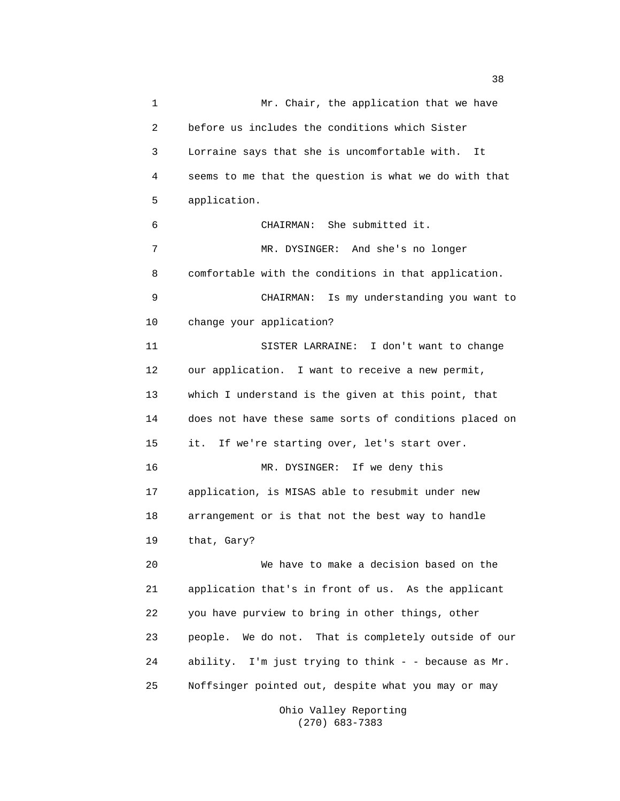1 Mr. Chair, the application that we have 2 before us includes the conditions which Sister 3 Lorraine says that she is uncomfortable with. It 4 seems to me that the question is what we do with that 5 application. 6 CHAIRMAN: She submitted it. 7 MR. DYSINGER: And she's no longer 8 comfortable with the conditions in that application. 9 CHAIRMAN: Is my understanding you want to 10 change your application? 11 SISTER LARRAINE: I don't want to change 12 our application. I want to receive a new permit, 13 which I understand is the given at this point, that 14 does not have these same sorts of conditions placed on 15 it. If we're starting over, let's start over. 16 MR. DYSINGER: If we deny this 17 application, is MISAS able to resubmit under new 18 arrangement or is that not the best way to handle 19 that, Gary? 20 We have to make a decision based on the 21 application that's in front of us. As the applicant 22 you have purview to bring in other things, other 23 people. We do not. That is completely outside of our 24 ability. I'm just trying to think - - because as Mr. 25 Noffsinger pointed out, despite what you may or may

 Ohio Valley Reporting (270) 683-7383

and the state of the state of the state of the state of the state of the state of the state of the state of the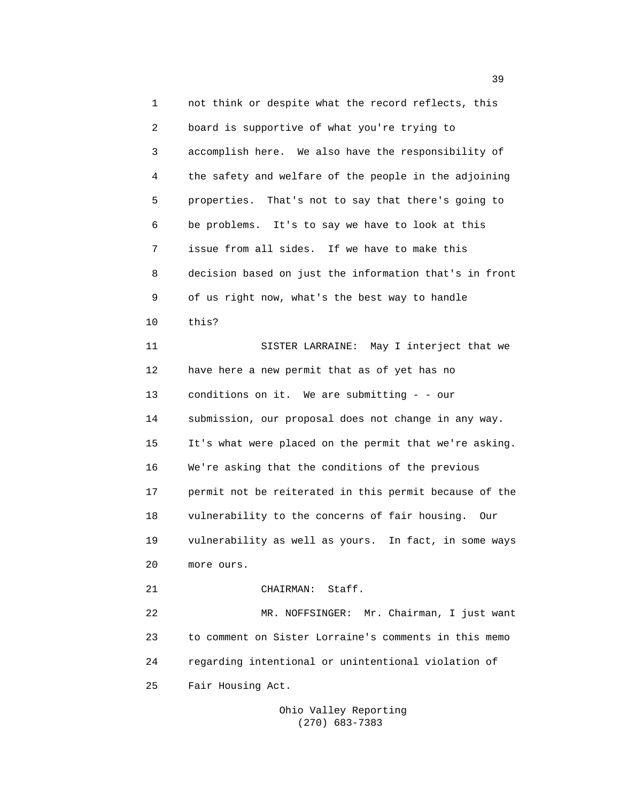1 not think or despite what the record reflects, this 2 board is supportive of what you're trying to 3 accomplish here. We also have the responsibility of 4 the safety and welfare of the people in the adjoining 5 properties. That's not to say that there's going to 6 be problems. It's to say we have to look at this 7 issue from all sides. If we have to make this 8 decision based on just the information that's in front 9 of us right now, what's the best way to handle 10 this? 11 SISTER LARRAINE: May I interject that we 12 have here a new permit that as of yet has no 13 conditions on it. We are submitting - - our 14 submission, our proposal does not change in any way. 15 It's what were placed on the permit that we're asking. 16 We're asking that the conditions of the previous 17 permit not be reiterated in this permit because of the 18 vulnerability to the concerns of fair housing. Our 19 vulnerability as well as yours. In fact, in some ways 20 more ours. 21 CHAIRMAN: Staff. 22 MR. NOFFSINGER: Mr. Chairman, I just want 23 to comment on Sister Lorraine's comments in this memo 24 regarding intentional or unintentional violation of 25 Fair Housing Act.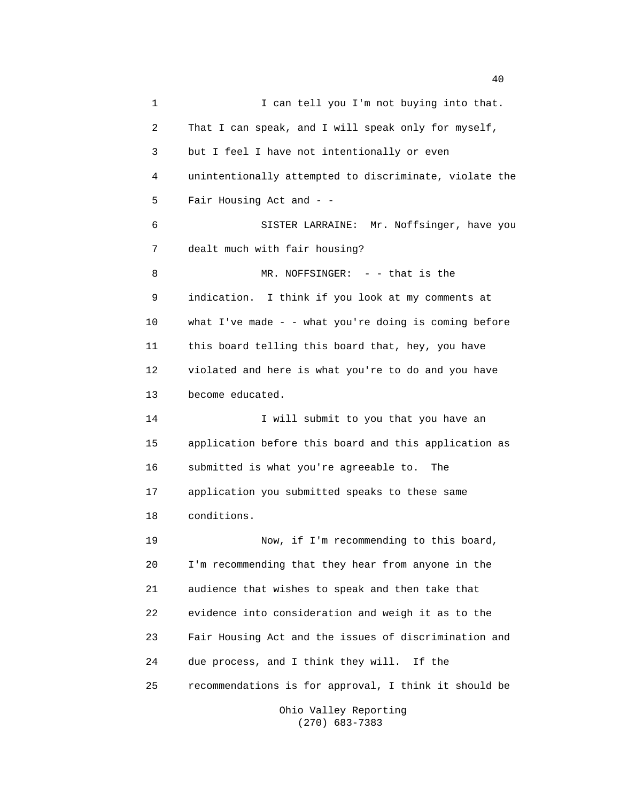1 I can tell you I'm not buying into that. 2 That I can speak, and I will speak only for myself, 3 but I feel I have not intentionally or even 4 unintentionally attempted to discriminate, violate the 5 Fair Housing Act and - - 6 SISTER LARRAINE: Mr. Noffsinger, have you 7 dealt much with fair housing? 8 MR. NOFFSINGER: - - that is the 9 indication. I think if you look at my comments at 10 what I've made - - what you're doing is coming before 11 this board telling this board that, hey, you have 12 violated and here is what you're to do and you have 13 become educated. 14 I will submit to you that you have an 15 application before this board and this application as 16 submitted is what you're agreeable to. The 17 application you submitted speaks to these same 18 conditions. 19 Now, if I'm recommending to this board, 20 I'm recommending that they hear from anyone in the 21 audience that wishes to speak and then take that 22 evidence into consideration and weigh it as to the 23 Fair Housing Act and the issues of discrimination and 24 due process, and I think they will. If the 25 recommendations is for approval, I think it should be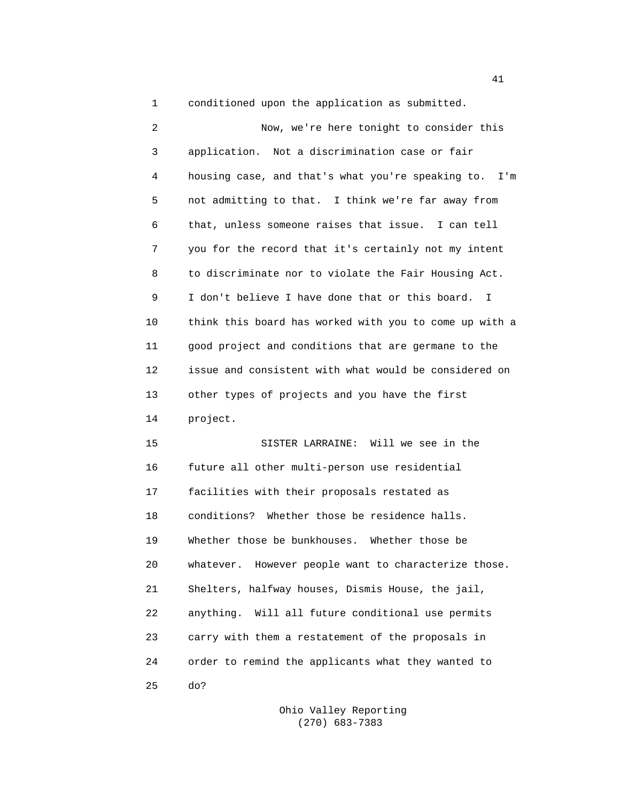1 conditioned upon the application as submitted.

| 2  | Now, we're here tonight to consider this                |
|----|---------------------------------------------------------|
| 3  | application. Not a discrimination case or fair          |
| 4  | housing case, and that's what you're speaking to. I'm   |
| 5  | not admitting to that. I think we're far away from      |
| 6  | that, unless someone raises that issue. I can tell      |
| 7  | you for the record that it's certainly not my intent    |
| 8  | to discriminate nor to violate the Fair Housing Act.    |
| 9  | I don't believe I have done that or this board.<br>I.   |
| 10 | think this board has worked with you to come up with a  |
| 11 | good project and conditions that are germane to the     |
| 12 | issue and consistent with what would be considered on   |
| 13 | other types of projects and you have the first          |
| 14 | project.                                                |
| 15 | SISTER LARRAINE: Will we see in the                     |
| 16 | future all other multi-person use residential           |
| 17 | facilities with their proposals restated as             |
| 18 | conditions? Whether those be residence halls.           |
| 19 | Whether those be bunkhouses. Whether those be           |
| 20 | However people want to characterize those.<br>whatever. |
| 21 | Shelters, halfway houses, Dismis House, the jail,       |
| 22 | Will all future conditional use permits<br>anything.    |
| 23 | carry with them a restatement of the proposals in       |
| 24 | order to remind the applicants what they wanted to      |

25 do?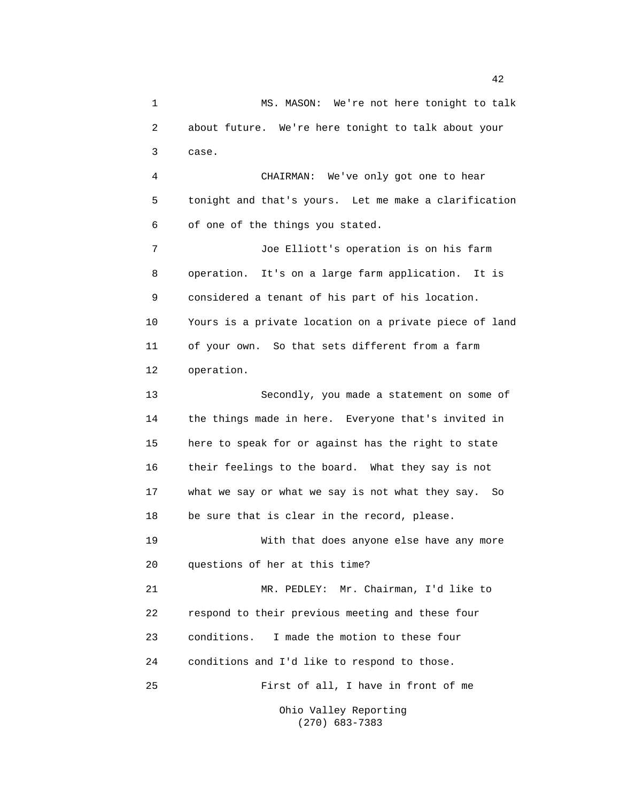1 MS. MASON: We're not here tonight to talk 2 about future. We're here tonight to talk about your 3 case. 4 CHAIRMAN: We've only got one to hear 5 tonight and that's yours. Let me make a clarification 6 of one of the things you stated. 7 Joe Elliott's operation is on his farm 8 operation. It's on a large farm application. It is 9 considered a tenant of his part of his location. 10 Yours is a private location on a private piece of land 11 of your own. So that sets different from a farm 12 operation. 13 Secondly, you made a statement on some of 14 the things made in here. Everyone that's invited in 15 here to speak for or against has the right to state 16 their feelings to the board. What they say is not 17 what we say or what we say is not what they say. So 18 be sure that is clear in the record, please. 19 With that does anyone else have any more 20 questions of her at this time? 21 MR. PEDLEY: Mr. Chairman, I'd like to 22 respond to their previous meeting and these four 23 conditions. I made the motion to these four 24 conditions and I'd like to respond to those. 25 First of all, I have in front of me Ohio Valley Reporting

(270) 683-7383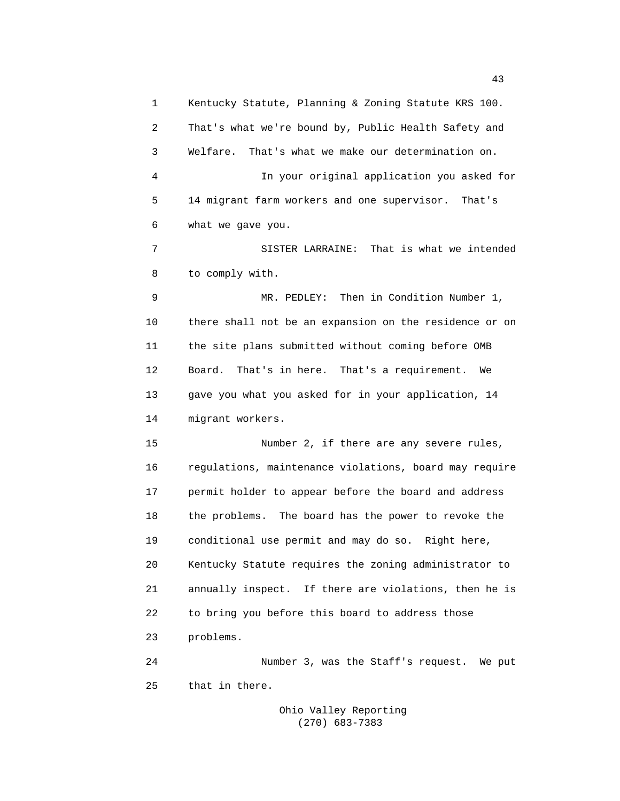1 Kentucky Statute, Planning & Zoning Statute KRS 100. 2 That's what we're bound by, Public Health Safety and 3 Welfare. That's what we make our determination on. 4 In your original application you asked for 5 14 migrant farm workers and one supervisor. That's 6 what we gave you. 7 SISTER LARRAINE: That is what we intended 8 to comply with. 9 MR. PEDLEY: Then in Condition Number 1, 10 there shall not be an expansion on the residence or on 11 the site plans submitted without coming before OMB 12 Board. That's in here. That's a requirement. We 13 gave you what you asked for in your application, 14 14 migrant workers. 15 Number 2, if there are any severe rules, 16 regulations, maintenance violations, board may require 17 permit holder to appear before the board and address 18 the problems. The board has the power to revoke the 19 conditional use permit and may do so. Right here, 20 Kentucky Statute requires the zoning administrator to 21 annually inspect. If there are violations, then he is 22 to bring you before this board to address those 23 problems. 24 Number 3, was the Staff's request. We put

> Ohio Valley Reporting (270) 683-7383

25 that in there.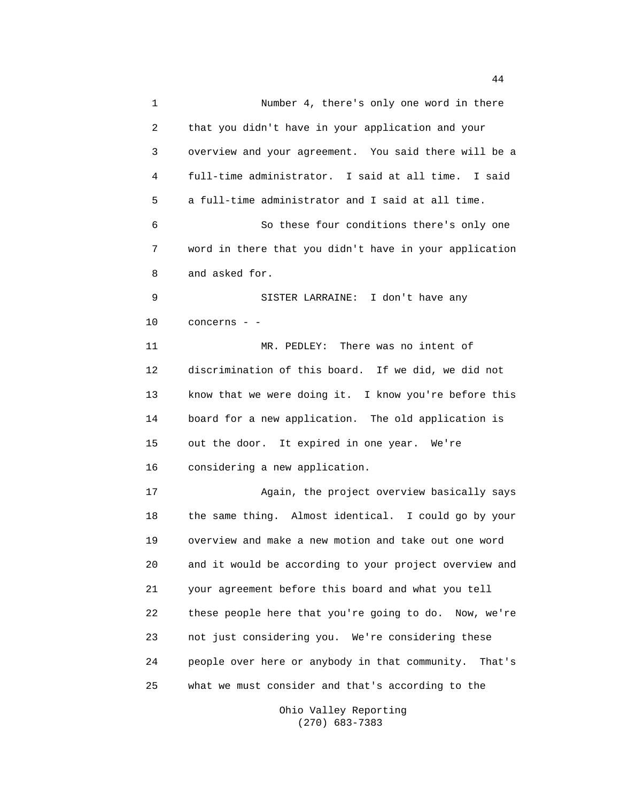1 Number 4, there's only one word in there 2 that you didn't have in your application and your 3 overview and your agreement. You said there will be a 4 full-time administrator. I said at all time. I said 5 a full-time administrator and I said at all time. 6 So these four conditions there's only one 7 word in there that you didn't have in your application 8 and asked for. 9 SISTER LARRAINE: I don't have any 10 concerns - - 11 MR. PEDLEY: There was no intent of 12 discrimination of this board. If we did, we did not 13 know that we were doing it. I know you're before this 14 board for a new application. The old application is 15 out the door. It expired in one year. We're 16 considering a new application. 17 Again, the project overview basically says 18 the same thing. Almost identical. I could go by your 19 overview and make a new motion and take out one word 20 and it would be according to your project overview and 21 your agreement before this board and what you tell 22 these people here that you're going to do. Now, we're 23 not just considering you. We're considering these 24 people over here or anybody in that community. That's 25 what we must consider and that's according to the

> Ohio Valley Reporting (270) 683-7383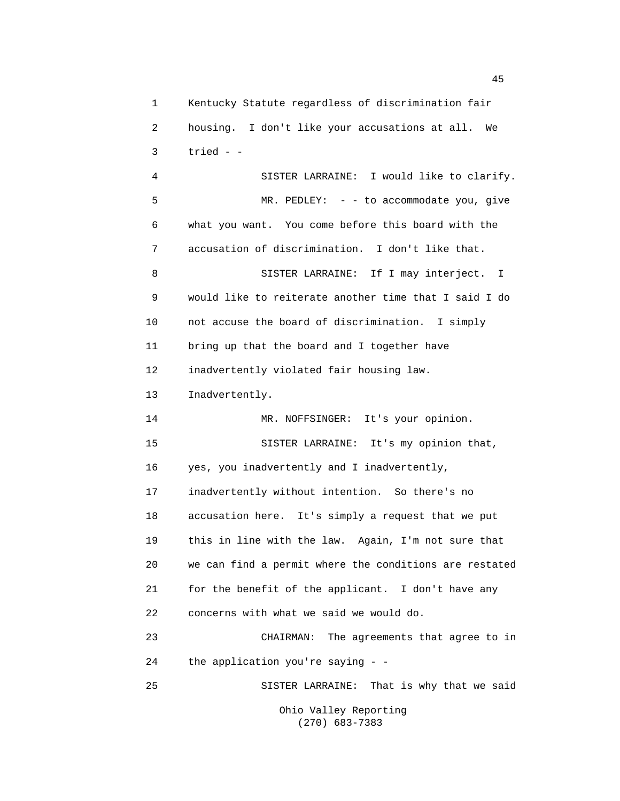1 Kentucky Statute regardless of discrimination fair 2 housing. I don't like your accusations at all. We  $3$  tried -  $-$  4 SISTER LARRAINE: I would like to clarify. 5 MR. PEDLEY: - - to accommodate you, give 6 what you want. You come before this board with the 7 accusation of discrimination. I don't like that. 8 SISTER LARRAINE: If I may interject. I 9 would like to reiterate another time that I said I do 10 not accuse the board of discrimination. I simply 11 bring up that the board and I together have 12 inadvertently violated fair housing law. 13 Inadvertently. 14 MR. NOFFSINGER: It's your opinion. 15 SISTER LARRAINE: It's my opinion that, 16 yes, you inadvertently and I inadvertently, 17 inadvertently without intention. So there's no 18 accusation here. It's simply a request that we put 19 this in line with the law. Again, I'm not sure that 20 we can find a permit where the conditions are restated 21 for the benefit of the applicant. I don't have any 22 concerns with what we said we would do. 23 CHAIRMAN: The agreements that agree to in 24 the application you're saying - - 25 SISTER LARRAINE: That is why that we said Ohio Valley Reporting

(270) 683-7383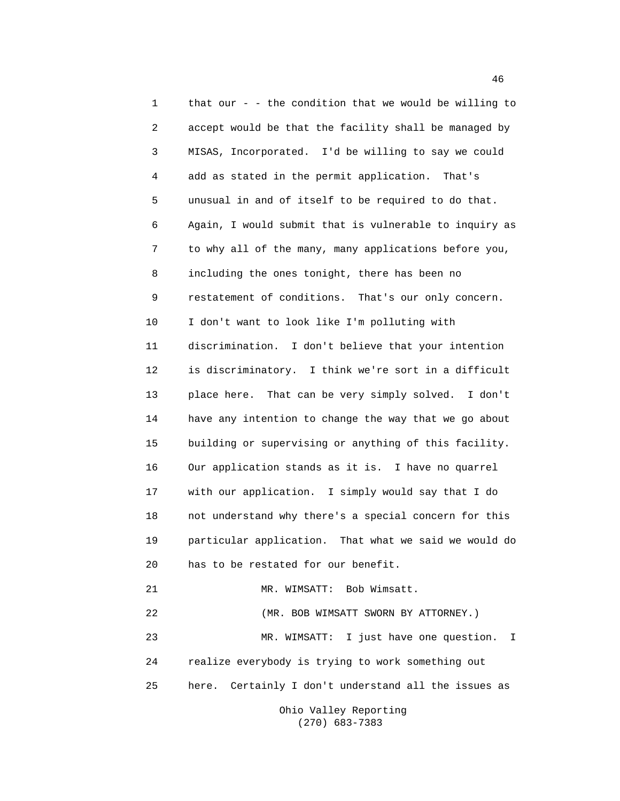1 that our - - the condition that we would be willing to 2 accept would be that the facility shall be managed by 3 MISAS, Incorporated. I'd be willing to say we could 4 add as stated in the permit application. That's 5 unusual in and of itself to be required to do that. 6 Again, I would submit that is vulnerable to inquiry as 7 to why all of the many, many applications before you, 8 including the ones tonight, there has been no 9 restatement of conditions. That's our only concern. 10 I don't want to look like I'm polluting with 11 discrimination. I don't believe that your intention 12 is discriminatory. I think we're sort in a difficult 13 place here. That can be very simply solved. I don't 14 have any intention to change the way that we go about 15 building or supervising or anything of this facility. 16 Our application stands as it is. I have no quarrel 17 with our application. I simply would say that I do 18 not understand why there's a special concern for this 19 particular application. That what we said we would do 20 has to be restated for our benefit. 21 MR. WIMSATT: Bob Wimsatt. 22 (MR. BOB WIMSATT SWORN BY ATTORNEY.) 23 MR. WIMSATT: I just have one question. I 24 realize everybody is trying to work something out 25 here. Certainly I don't understand all the issues as Ohio Valley Reporting

(270) 683-7383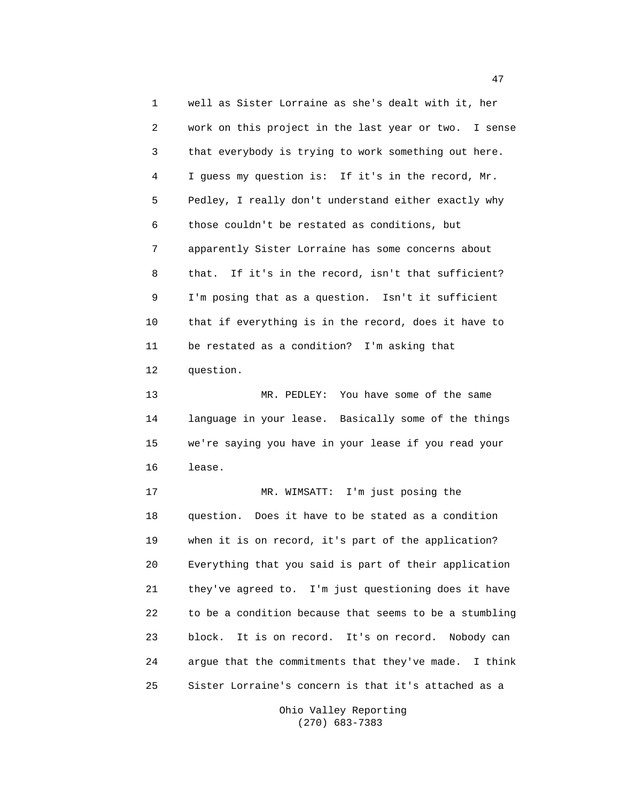1 well as Sister Lorraine as she's dealt with it, her 2 work on this project in the last year or two. I sense 3 that everybody is trying to work something out here. 4 I guess my question is: If it's in the record, Mr. 5 Pedley, I really don't understand either exactly why 6 those couldn't be restated as conditions, but 7 apparently Sister Lorraine has some concerns about 8 that. If it's in the record, isn't that sufficient? 9 I'm posing that as a question. Isn't it sufficient 10 that if everything is in the record, does it have to 11 be restated as a condition? I'm asking that 12 question.

 13 MR. PEDLEY: You have some of the same 14 language in your lease. Basically some of the things 15 we're saying you have in your lease if you read your 16 lease.

 17 MR. WIMSATT: I'm just posing the 18 question. Does it have to be stated as a condition 19 when it is on record, it's part of the application? 20 Everything that you said is part of their application 21 they've agreed to. I'm just questioning does it have 22 to be a condition because that seems to be a stumbling 23 block. It is on record. It's on record. Nobody can 24 argue that the commitments that they've made. I think 25 Sister Lorraine's concern is that it's attached as a

> Ohio Valley Reporting (270) 683-7383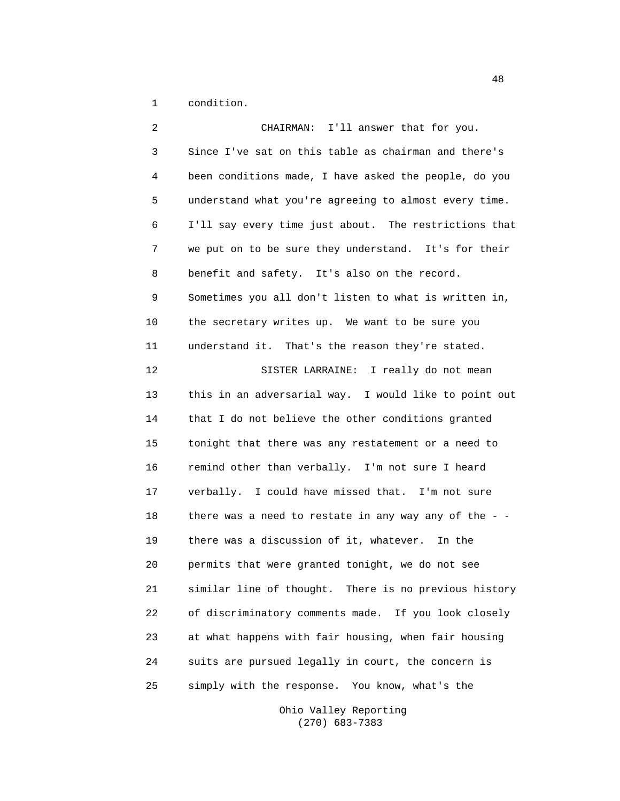1 condition.

 2 CHAIRMAN: I'll answer that for you. 3 Since I've sat on this table as chairman and there's 4 been conditions made, I have asked the people, do you 5 understand what you're agreeing to almost every time. 6 I'll say every time just about. The restrictions that 7 we put on to be sure they understand. It's for their 8 benefit and safety. It's also on the record. 9 Sometimes you all don't listen to what is written in, 10 the secretary writes up. We want to be sure you 11 understand it. That's the reason they're stated. 12 SISTER LARRAINE: I really do not mean 13 this in an adversarial way. I would like to point out 14 that I do not believe the other conditions granted 15 tonight that there was any restatement or a need to 16 remind other than verbally. I'm not sure I heard 17 verbally. I could have missed that. I'm not sure 18 there was a need to restate in any way any of the -- 19 there was a discussion of it, whatever. In the 20 permits that were granted tonight, we do not see 21 similar line of thought. There is no previous history 22 of discriminatory comments made. If you look closely 23 at what happens with fair housing, when fair housing 24 suits are pursued legally in court, the concern is 25 simply with the response. You know, what's the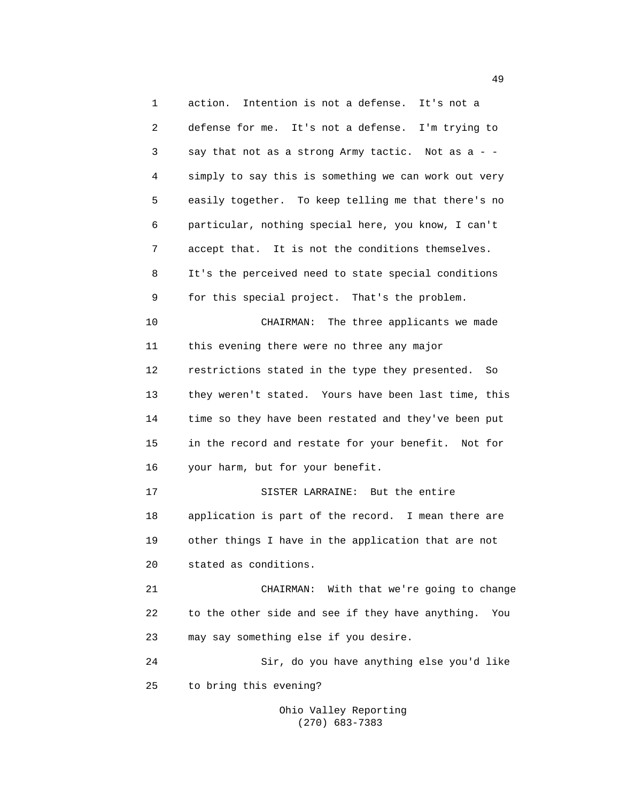1 action. Intention is not a defense. It's not a 2 defense for me. It's not a defense. I'm trying to 3 say that not as a strong Army tactic. Not as a - - 4 simply to say this is something we can work out very 5 easily together. To keep telling me that there's no 6 particular, nothing special here, you know, I can't 7 accept that. It is not the conditions themselves. 8 It's the perceived need to state special conditions 9 for this special project. That's the problem. 10 CHAIRMAN: The three applicants we made 11 this evening there were no three any major 12 restrictions stated in the type they presented. So 13 they weren't stated. Yours have been last time, this 14 time so they have been restated and they've been put 15 in the record and restate for your benefit. Not for 16 your harm, but for your benefit. 17 SISTER LARRAINE: But the entire 18 application is part of the record. I mean there are 19 other things I have in the application that are not 20 stated as conditions. 21 CHAIRMAN: With that we're going to change 22 to the other side and see if they have anything. You 23 may say something else if you desire. 24 Sir, do you have anything else you'd like 25 to bring this evening?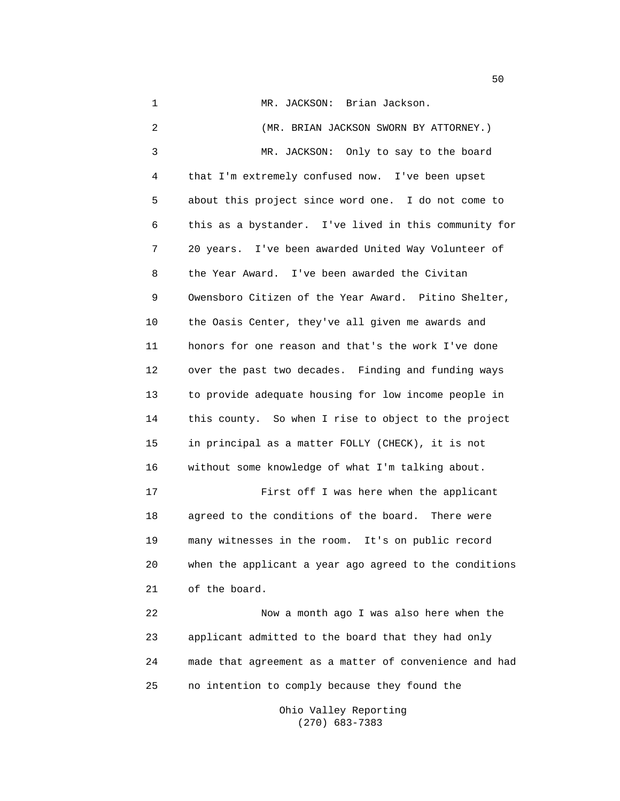1 MR. JACKSON: Brian Jackson. 2 (MR. BRIAN JACKSON SWORN BY ATTORNEY.) 3 MR. JACKSON: Only to say to the board 4 that I'm extremely confused now. I've been upset 5 about this project since word one. I do not come to 6 this as a bystander. I've lived in this community for 7 20 years. I've been awarded United Way Volunteer of 8 the Year Award. I've been awarded the Civitan 9 Owensboro Citizen of the Year Award. Pitino Shelter, 10 the Oasis Center, they've all given me awards and 11 honors for one reason and that's the work I've done 12 over the past two decades. Finding and funding ways 13 to provide adequate housing for low income people in 14 this county. So when I rise to object to the project 15 in principal as a matter FOLLY (CHECK), it is not 16 without some knowledge of what I'm talking about. 17 First off I was here when the applicant 18 agreed to the conditions of the board. There were 19 many witnesses in the room. It's on public record 20 when the applicant a year ago agreed to the conditions 21 of the board. 22 Now a month ago I was also here when the 23 applicant admitted to the board that they had only 24 made that agreement as a matter of convenience and had 25 no intention to comply because they found the

> Ohio Valley Reporting (270) 683-7383

 $50<sub>2</sub>$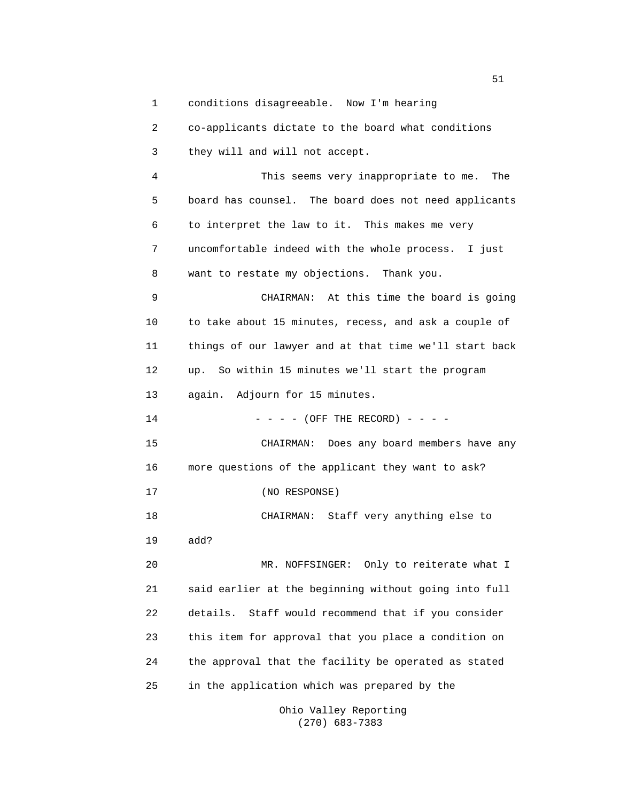1 conditions disagreeable. Now I'm hearing

 2 co-applicants dictate to the board what conditions 3 they will and will not accept. 4 This seems very inappropriate to me. The 5 board has counsel. The board does not need applicants 6 to interpret the law to it. This makes me very 7 uncomfortable indeed with the whole process. I just 8 want to restate my objections. Thank you. 9 CHAIRMAN: At this time the board is going 10 to take about 15 minutes, recess, and ask a couple of 11 things of our lawyer and at that time we'll start back 12 up. So within 15 minutes we'll start the program 13 again. Adjourn for 15 minutes. 14  $- - - (-$  (OFF THE RECORD)  $- - -$  15 CHAIRMAN: Does any board members have any 16 more questions of the applicant they want to ask? 17 (NO RESPONSE) 18 CHAIRMAN: Staff very anything else to 19 add? 20 MR. NOFFSINGER: Only to reiterate what I 21 said earlier at the beginning without going into full 22 details. Staff would recommend that if you consider 23 this item for approval that you place a condition on 24 the approval that the facility be operated as stated 25 in the application which was prepared by the

 Ohio Valley Reporting (270) 683-7383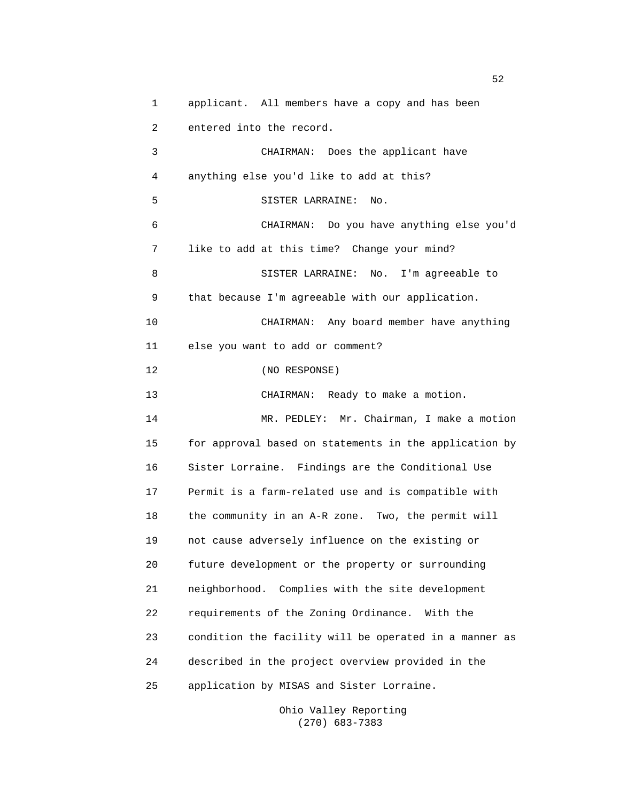1 applicant. All members have a copy and has been 2 entered into the record. 3 CHAIRMAN: Does the applicant have 4 anything else you'd like to add at this? 5 SISTER LARRAINE: No. 6 CHAIRMAN: Do you have anything else you'd 7 like to add at this time? Change your mind? 8 SISTER LARRAINE: No. I'm agreeable to 9 that because I'm agreeable with our application. 10 CHAIRMAN: Any board member have anything 11 else you want to add or comment? 12 (NO RESPONSE) 13 CHAIRMAN: Ready to make a motion. 14 MR. PEDLEY: Mr. Chairman, I make a motion 15 for approval based on statements in the application by 16 Sister Lorraine. Findings are the Conditional Use 17 Permit is a farm-related use and is compatible with 18 the community in an A-R zone. Two, the permit will 19 not cause adversely influence on the existing or 20 future development or the property or surrounding 21 neighborhood. Complies with the site development 22 requirements of the Zoning Ordinance. With the 23 condition the facility will be operated in a manner as 24 described in the project overview provided in the 25 application by MISAS and Sister Lorraine.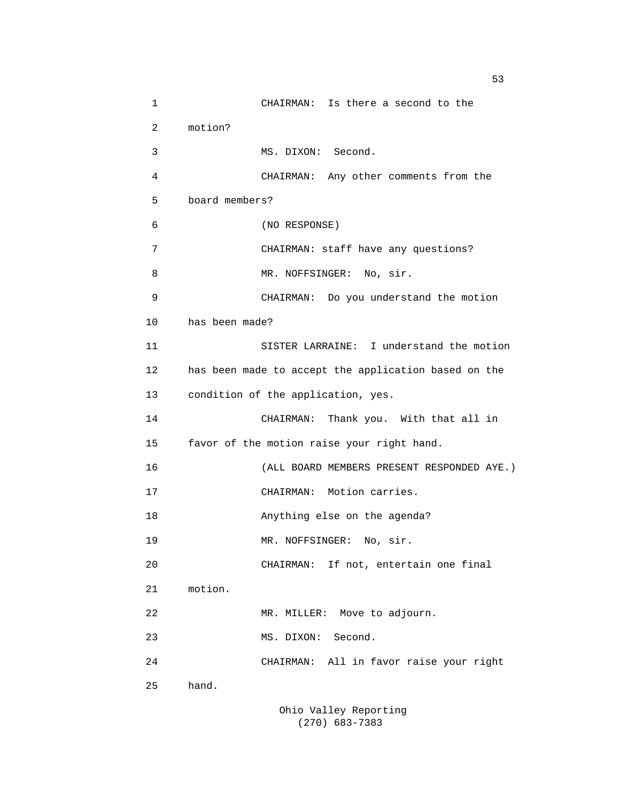1 CHAIRMAN: Is there a second to the 2 motion? 3 MS. DIXON: Second. 4 CHAIRMAN: Any other comments from the 5 board members? 6 (NO RESPONSE) 7 CHAIRMAN: staff have any questions? 8 MR. NOFFSINGER: No, sir. 9 CHAIRMAN: Do you understand the motion 10 has been made? 11 SISTER LARRAINE: I understand the motion 12 has been made to accept the application based on the 13 condition of the application, yes. 14 CHAIRMAN: Thank you. With that all in 15 favor of the motion raise your right hand. 16 (ALL BOARD MEMBERS PRESENT RESPONDED AYE.) 17 CHAIRMAN: Motion carries. 18 Anything else on the agenda? 19 MR. NOFFSINGER: No, sir. 20 CHAIRMAN: If not, entertain one final 21 motion. 22 MR. MILLER: Move to adjourn. 23 MS. DIXON: Second. 24 CHAIRMAN: All in favor raise your right 25 hand.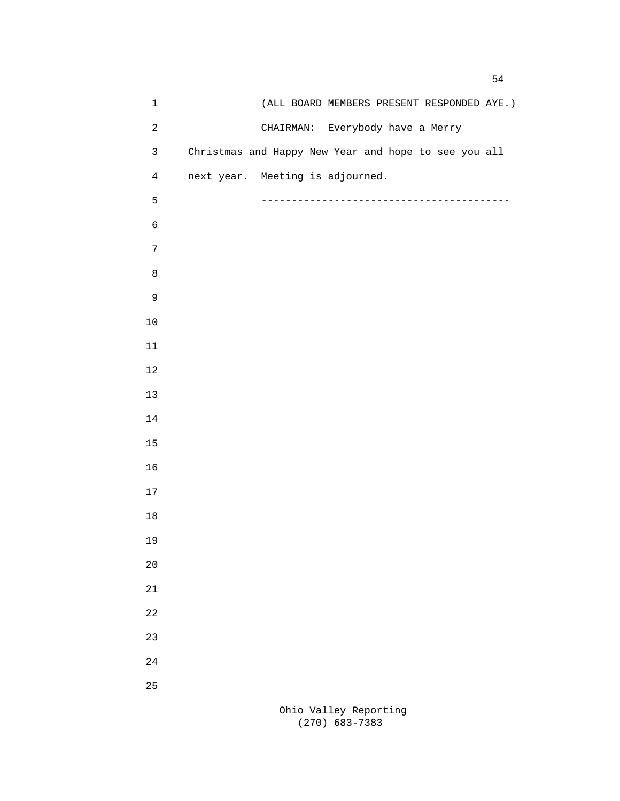| $\mathbf 1$    | (ALL BOARD MEMBERS PRESENT RESPONDED AYE.)           |
|----------------|------------------------------------------------------|
| $\sqrt{2}$     | CHAIRMAN: Everybody have a Merry                     |
| $\mathbf{3}$   | Christmas and Happy New Year and hope to see you all |
| $\overline{4}$ | next year. Meeting is adjourned.                     |
| 5              |                                                      |
| $\epsilon$     |                                                      |
| $\sqrt{ }$     |                                                      |
| $\,8\,$        |                                                      |
| $\mathsf 9$    |                                                      |
| $10\,$         |                                                      |
| $11\,$         |                                                      |
| $1\,2$         |                                                      |
| $13$           |                                                      |
| $14\,$         |                                                      |
| $15\,$         |                                                      |
| 16             |                                                      |
| $17\,$         |                                                      |
| $18\,$         |                                                      |
| 19             |                                                      |
| 20             |                                                      |
| 21             |                                                      |
| 22             |                                                      |
| 23             |                                                      |
| 24             |                                                      |
| 25             |                                                      |
|                |                                                      |